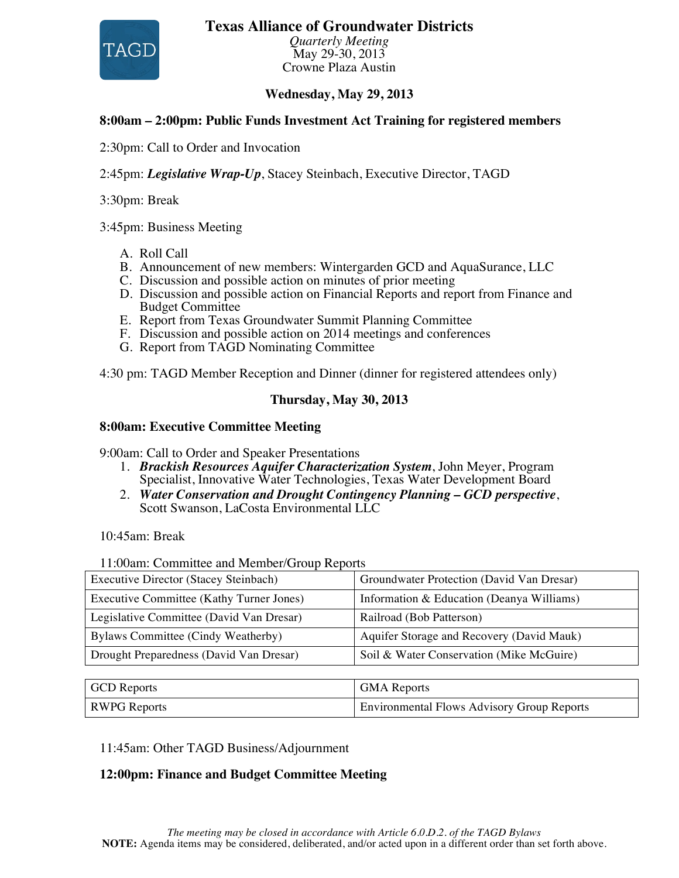#### **Texas Alliance of Groundwater Districts**



*Quarterly Meeting* May 29-30, 2013 Crowne Plaza Austin

#### **Wednesday, May 29, 2013**

#### **8:00am – 2:00pm: Public Funds Investment Act Training for registered members**

2:30pm: Call to Order and Invocation

2:45pm: *Legislative Wrap-Up*, Stacey Steinbach, Executive Director, TAGD

3:30pm: Break

3:45pm: Business Meeting

- A. Roll Call
- B. Announcement of new members: Wintergarden GCD and AquaSurance, LLC
- C. Discussion and possible action on minutes of prior meeting
- D. Discussion and possible action on Financial Reports and report from Finance and Budget Committee
- E. Report from Texas Groundwater Summit Planning Committee
- F. Discussion and possible action on 2014 meetings and conferences
- G. Report from TAGD Nominating Committee

4:30 pm: TAGD Member Reception and Dinner (dinner for registered attendees only)

#### **Thursday, May 30, 2013**

#### **8:00am: Executive Committee Meeting**

9:00am: Call to Order and Speaker Presentations

- 1. *Brackish Resources Aquifer Characterization System*, John Meyer, Program Specialist, Innovative Water Technologies, Texas Water Development Board
- 2. *Water Conservation and Drought Contingency Planning – GCD perspective*, Scott Swanson, LaCosta Environmental LLC

10:45am: Break

11:00am: Committee and Member/Group Reports

| <b>Executive Director (Stacey Steinbach)</b> | Groundwater Protection (David Van Dresar) |
|----------------------------------------------|-------------------------------------------|
| Executive Committee (Kathy Turner Jones)     | Information & Education (Deanya Williams) |
| Legislative Committee (David Van Dresar)     | Railroad (Bob Patterson)                  |
| Bylaws Committee (Cindy Weatherby)           | Aquifer Storage and Recovery (David Mauk) |
| Drought Preparedness (David Van Dresar)      | Soil & Water Conservation (Mike McGuire)  |
|                                              |                                           |
| <b>GCD</b> Reports                           | <b>GMA</b> Reports                        |

RWPG Reports **Environmental Flows Advisory Group Reports** 

11:45am: Other TAGD Business/Adjournment

#### **12:00pm: Finance and Budget Committee Meeting**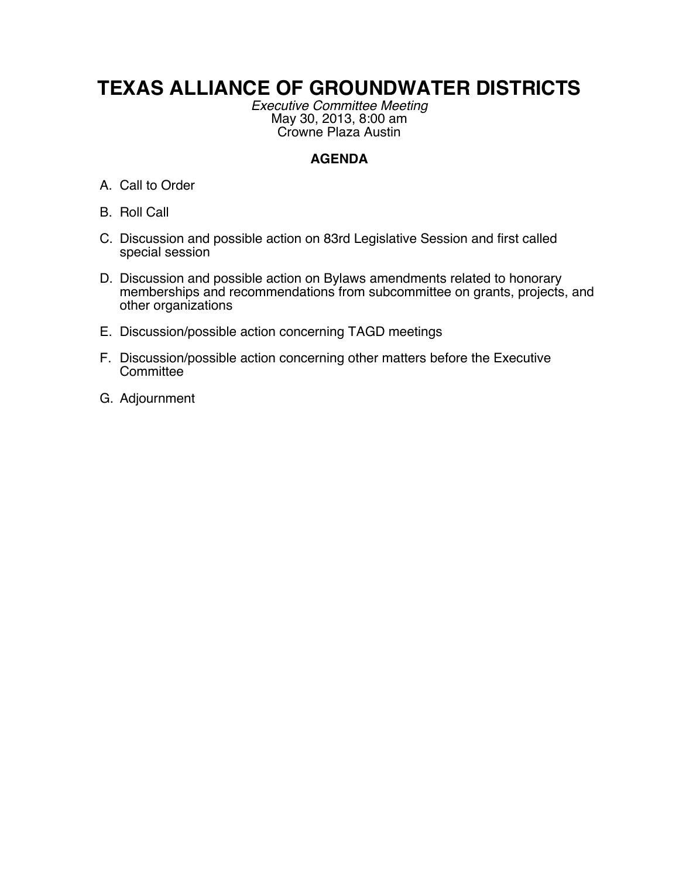# **TEXAS ALLIANCE OF GROUNDWATER DISTRICTS**

*Executive Committee Meeting* May 30, 2013, 8:00 am Crowne Plaza Austin

## **AGENDA**

- A. Call to Order
- B. Roll Call
- C. Discussion and possible action on 83rd Legislative Session and first called special session
- D. Discussion and possible action on Bylaws amendments related to honorary memberships and recommendations from subcommittee on grants, projects, and other organizations
- E. Discussion/possible action concerning TAGD meetings
- F. Discussion/possible action concerning other matters before the Executive **Committee**
- G. Adjournment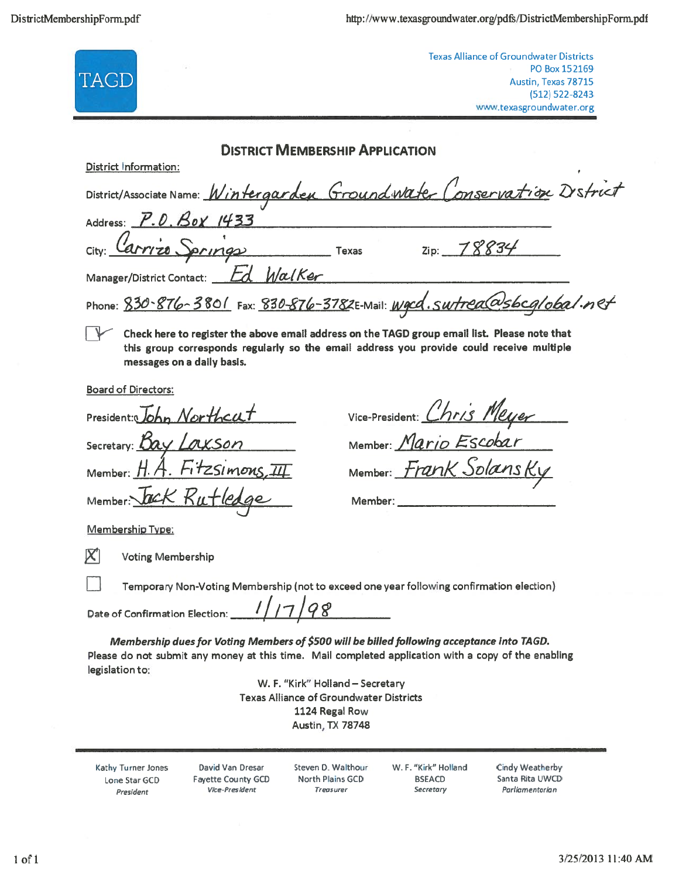| <b>Texas Alliance of Groundwater Districts</b><br>PO Box 152169<br>TAGD<br>Austin, Texas 78715<br>$(512) 522 - 8243$<br>www.texasgroundwater.org                                                                                                                                                                                                 |
|--------------------------------------------------------------------------------------------------------------------------------------------------------------------------------------------------------------------------------------------------------------------------------------------------------------------------------------------------|
| <b>DISTRICT MEMBERSHIP APPLICATION</b>                                                                                                                                                                                                                                                                                                           |
| District Information:                                                                                                                                                                                                                                                                                                                            |
| District/Associate Name: Wintergarden Groundwater Conservation D'strict                                                                                                                                                                                                                                                                          |
| Address: P.O. Box 1433                                                                                                                                                                                                                                                                                                                           |
| City: Carrizo Springs<br>$T$ exas<br>Zip: 78834                                                                                                                                                                                                                                                                                                  |
| Manager/District Contact: <i>Ld WalKer</i>                                                                                                                                                                                                                                                                                                       |
| Phone: 830-876-3801 Fax: 830-876-3782E-Mail: Wgcd.swtrea@sbcg/obal.net                                                                                                                                                                                                                                                                           |
| Check here to register the above email address on the TAGD group email list. Please note that<br>this group corresponds regularly so the email address you provide could receive multiple<br>messages on a daily basis.                                                                                                                          |
| <b>Board of Directors:</b>                                                                                                                                                                                                                                                                                                                       |
| Vice-President: Chris Meyer<br>President: John Northcat                                                                                                                                                                                                                                                                                          |
| Member: Mario Escobar<br>Secretary: Bay Laxson                                                                                                                                                                                                                                                                                                   |
| Member: H.A. FitzSimons, III<br>Member: Frank Solansky                                                                                                                                                                                                                                                                                           |
| Member: ack Rutledge                                                                                                                                                                                                                                                                                                                             |
| <b>Membership Type:</b>                                                                                                                                                                                                                                                                                                                          |
| <b>Voting Membership</b>                                                                                                                                                                                                                                                                                                                         |
| Temporary Non-Voting Membership (not to exceed one year following confirmation election)                                                                                                                                                                                                                                                         |
| 1/17/98<br>Date of Confirmation Election:                                                                                                                                                                                                                                                                                                        |
| Membership dues for Voting Members of \$500 will be billed following acceptance into TAGD.<br>Please do not submit any money at this time. Mail completed application with a copy of the enabling<br>legislation to:<br>W. F. "Kirk" Holland - Secretary<br><b>Texas Alliance of Groundwater Districts</b><br>1124 Regal Row<br>Austin, TX 78748 |
| W. F. "Kirk" Holland<br><b>Cindy Weatherby</b><br>Kathy Turner Jones<br>David Van Dresar<br>Steven D. Walthour<br>Santa Rita UWCD<br>North Plains GCD<br><b>BSEACD</b><br><b>Fayette County GCD</b><br>Lone Star GCD<br>Parliamentarian<br>Vice-President<br>Treasurer<br>Secretary<br>President                                                 |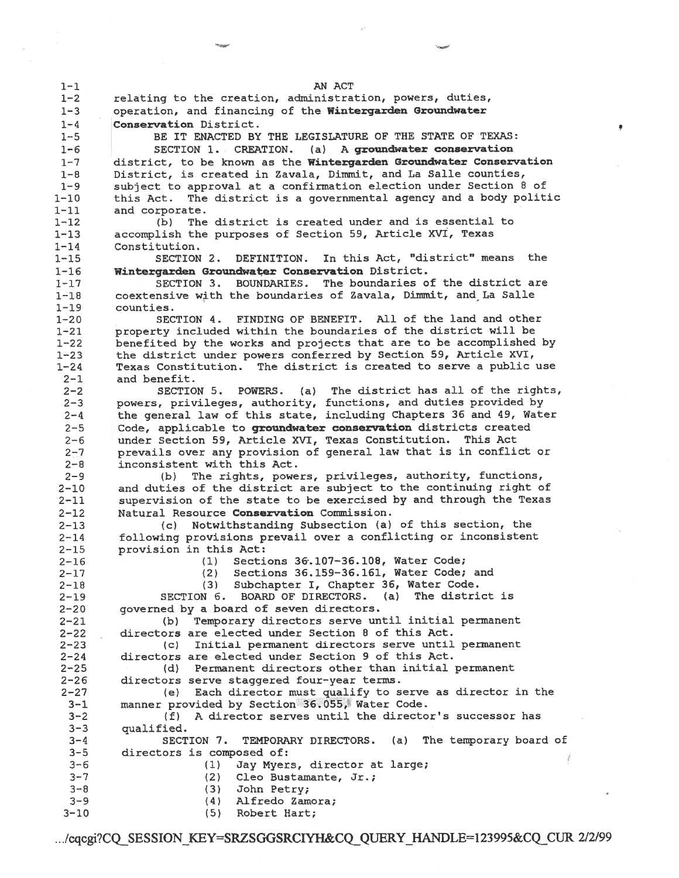| $1 - 1$              | AN ACT                                                                                                                                 |
|----------------------|----------------------------------------------------------------------------------------------------------------------------------------|
| $1 - 2$              | relating to the creation, administration, powers, duties,                                                                              |
| $1 - 3$              | operation, and financing of the Wintergarden Groundwater                                                                               |
| $1 - 4$              | Conservation District.                                                                                                                 |
| $1 - 5$              | BE IT ENACTED BY THE LEGISLATURE OF THE STATE OF TEXAS:                                                                                |
| $1 - 6$              | SECTION 1. CREATION. (a) A groundwater conservation                                                                                    |
| $1 - 7$              | district, to be known as the Wintergarden Groundwater Conservation                                                                     |
| $1 - 8$              | District, is created in Zavala, Dimmit, and La Salle counties,                                                                         |
| $1 - 9$              | subject to approval at a confirmation election under Section 8 of                                                                      |
| 1-10<br>l-11         | The district is a governmental agency and a body politic<br>this Act.<br>and corporate.                                                |
| $1 - 12$             | (b) The district is created under and is essential to                                                                                  |
| 1-13                 | accomplish the purposes of Section 59, Article XVI, Texas                                                                              |
| $1 - 14$             | Constitution.                                                                                                                          |
| 1-15                 | DEFINITION. In this Act, "district" means the<br>SECTION 2.                                                                            |
| $1 - 16$             | Wintergarden Groundwater Conservation District.                                                                                        |
| $1 - 17$             | The boundaries of the district are<br><b>BOUNDARIES.</b><br>SECTION 3.                                                                 |
| $1 - 18$             | coextensive with the boundaries of Zavala, Dimmit, and La Salle                                                                        |
| $1 - 19$             | counties.                                                                                                                              |
| $1 - 20$             | SECTION 4. FINDING OF BENEFIT. All of the land and other                                                                               |
| $1 - 21$             | property included within the boundaries of the district will be                                                                        |
| $1 - 22$<br>$1 - 23$ | benefited by the works and projects that are to be accomplished by<br>the district under powers conferred by Section 59, Article XVI,  |
| $1 - 24$             | Texas Constitution. The district is created to serve a public use                                                                      |
| $2 - 1$              | and benefit.                                                                                                                           |
| $2 - 2$              | SECTION 5. POWERS. (a) The district has all of the rights,                                                                             |
| $2 - 3$              | powers, privileges, authority, functions, and duties provided by                                                                       |
| $2 - 4$              | the general law of this state, including Chapters 36 and 49, Water                                                                     |
| $2 - 5$              | Code, applicable to groundwater conservation districts created                                                                         |
| $2 - 6$              | under Section 59, Article XVI, Texas Constitution. This Act                                                                            |
| $2 - 7$              | prevails over any provision of general law that is in conflict or                                                                      |
| $2 - 8$              | inconsistent with this Act.                                                                                                            |
| $2 - 9$              | The rights, powers, privileges, authority, functions,<br>(b)                                                                           |
| $2 - 10$             | and duties of the district are subject to the continuing right of<br>supervision of the state to be exercised by and through the Texas |
| $2 - 11$<br>$2 - 12$ | Natural Resource Conservation Commission.                                                                                              |
| $2 - 13$             | Notwithstanding Subsection (a) of this section, the<br>(c) =                                                                           |
| $2 - 14$             | following provisions prevail over a conflicting or inconsistent                                                                        |
| $2 - 15$             | provision in this Act:                                                                                                                 |
| $2 - 16$             | Sections 36.107-36.108, Water Code;<br>(1)                                                                                             |
| $2 - 17$             | Sections 36.159-36.161, Water Code; and<br>(2)                                                                                         |
| $2 - 18$             | Subchapter I, Chapter 36, Water Code.<br>(3)                                                                                           |
| $2 - 19$             | The district is<br>SECTION 6. BOARD OF DIRECTORS. (a)                                                                                  |
| $2 - 20$             | governed by a board of seven directors.                                                                                                |
| $2 - 21$<br>$2 - 22$ | Temporary directors serve until initial permanent<br>(b)<br>directors are elected under Section 8 of this Act.                         |
| $2 - 23$             | Initial permanent directors serve until permanent<br>(c)                                                                               |
| $2 - 24$             | directors are elected under Section 9 of this Act.                                                                                     |
| $2 - 25$             | Permanent directors other than initial permanent<br>(d)                                                                                |
| $2 - 26$             | directors serve staggered four-year terms.                                                                                             |
| $2 - 27$             | (e) Each director must qualify to serve as director in the                                                                             |
| $3 - 1$              | manner provided by Section 36.055, Water Code.                                                                                         |
| $3 - 2$              | A director serves until the director's successor has<br>(f)                                                                            |
| $3 - 3$              | qualified.                                                                                                                             |
| $3 - 4$              | SECTION 7. TEMPORARY DIRECTORS. (a) The temporary board of                                                                             |
| $3 - 5$              | directors is composed of:                                                                                                              |
| $3 - 6$<br>$3 - 7$   | (1)<br>Jay Myers, director at large;<br>(2)<br>Cleo Bustamante, Jr.;                                                                   |
| $3 - 8$              | (3)<br>John Petry;                                                                                                                     |
| $3 - 9$              | (4)<br>Alfredo Zamora;                                                                                                                 |
| $3 - 10$             | (5) Robert Hart;                                                                                                                       |
|                      |                                                                                                                                        |

.../cqcgi?CQ\_SESSION\_KEY=SRZSGGSRCIYH&CQ\_QUERY\_HANDLE=123995&CQ\_CUR\_2/2/99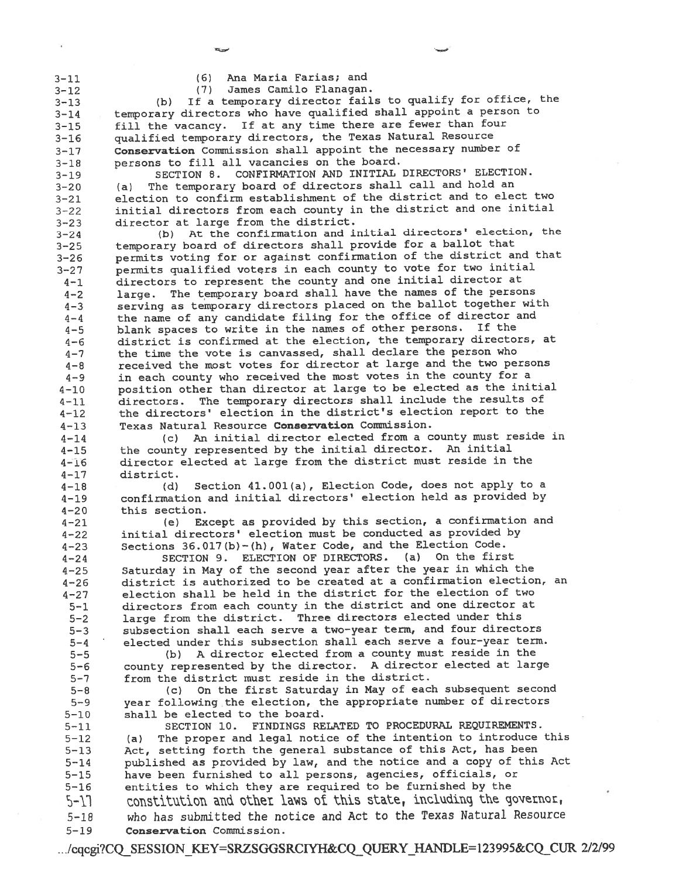$3 - 11$ 

Ana Maria Farias; and  $(6)$ 

James Camilo Flanagan.  $(7)$ 

 $3 - 12$ If a temporary director fails to qualify for office, the  $3 - 13$  $(b)$ temporary directors who have qualified shall appoint a person to  $3 - 14$ fill the vacancy. If at any time there are fewer than four  $3 - 15$ qualified temporary directors, the Texas Natural Resource  $3 - 16$ Conservation Commission shall appoint the necessary number of  $3 - 17$ persons to fill all vacancies on the board.  $3 - 18$ 

SECTION 8. CONFIRMATION AND INITIAL DIRECTORS' ELECTION.  $3 - 19$ The temporary board of directors shall call and hold an  $3 - 20$  $(a)$ election to confirm establishment of the district and to elect two  $3 - 21$ initial directors from each county in the district and one initial  $3 - 22$ director at large from the district.  $3 - 23$ 

At the confirmation and initial directors' election, the  $3 - 24$  $(b)$ temporary board of directors shall provide for a ballot that  $3 - 25$ permits voting for or against confirmation of the district and that  $3 - 26$ permits qualified voters in each county to vote for two initial  $3 - 27$ directors to represent the county and one initial director at  $4 - 1$ large. The temporary board shall have the names of the persons  $4 - 2$ serving as temporary directors placed on the ballot together with  $4 - 3$ the name of any candidate filing for the office of director and  $4 - 4$ blank spaces to write in the names of other persons. If the  $4 - 5$ district is confirmed at the election, the temporary directors, at  $4 - 6$ the time the vote is canvassed, shall declare the person who  $4 - 7$ received the most votes for director at large and the two persons  $4 - 8$ in each county who received the most votes in the county for a  $4 - 9$ position other than director at large to be elected as the initial  $4 - 10$ The temporary directors shall include the results of  $4 - 11$ directors. the directors' election in the district's election report to the  $4 - 12$ Texas Natural Resource Conservation Commission.  $4 - 13$ 

(c) An initial director elected from a county must reside in  $4 - 14$ the county represented by the initial director. An initial  $4 - 15$ director elected at large from the district must reside in the  $4 - 16$  $4 - 17$ district.

Section 41.001(a), Election Code, does not apply to a  $4 - 18$  $(d)$ confirmation and initial directors' election held as provided by  $4 - 19$  $4 - 20$ this section.

Except as provided by this section, a confirmation and  $4 - 21$  $(e)$ initial directors' election must be conducted as provided by  $4 - 22$ Sections 36.017(b)-(h), Water Code, and the Election Code.  $4 - 23$ 

SECTION 9. ELECTION OF DIRECTORS. (a) On the first  $4 - 24$ Saturday in May of the second year after the year in which the  $4 - 25$ district is authorized to be created at a confirmation election, an  $4 - 26$ election shall be held in the district for the election of two  $4 - 27$ directors from each county in the district and one director at  $5 - 1$ large from the district. Three directors elected under this  $5 - 2$ subsection shall each serve a two-year term, and four directors  $5 - 3$ elected under this subsection shall each serve a four-year term.  $5 - 4$ 

(b) A director elected from a county must reside in the  $5 - 5$ county represented by the director. A director elected at large  $5 - 6$ from the district must reside in the district.  $5 - 7$ 

(c) On the first Saturday in May of each subsequent second  $5 - 8$ year following the election, the appropriate number of directors  $5 - 9$  $5 - 10$ shall be elected to the board.

SECTION 10. FINDINGS RELATED TO PROCEDURAL REQUIREMENTS.  $5 - 11$ The proper and legal notice of the intention to introduce this  $5 - 12$  $(a)$ Act, setting forth the general substance of this Act, has been  $5 - 13$ published as provided by law, and the notice and a copy of this Act  $5 - 14$ have been furnished to all persons, agencies, officials, or  $5 - 15$  $5 - 16$ entities to which they are required to be furnished by the constitution and other laws of this state, including the governor,  $5 - 17$ who has submitted the notice and Act to the Texas Natural Resource  $5 - 18$  $5 - 19$ Conservation Commission.

.../cqcgi?CQ SESSION KEY=SRZSGGSRCIYH&CQ QUERY HANDLE=123995&CQ CUR 2/2/99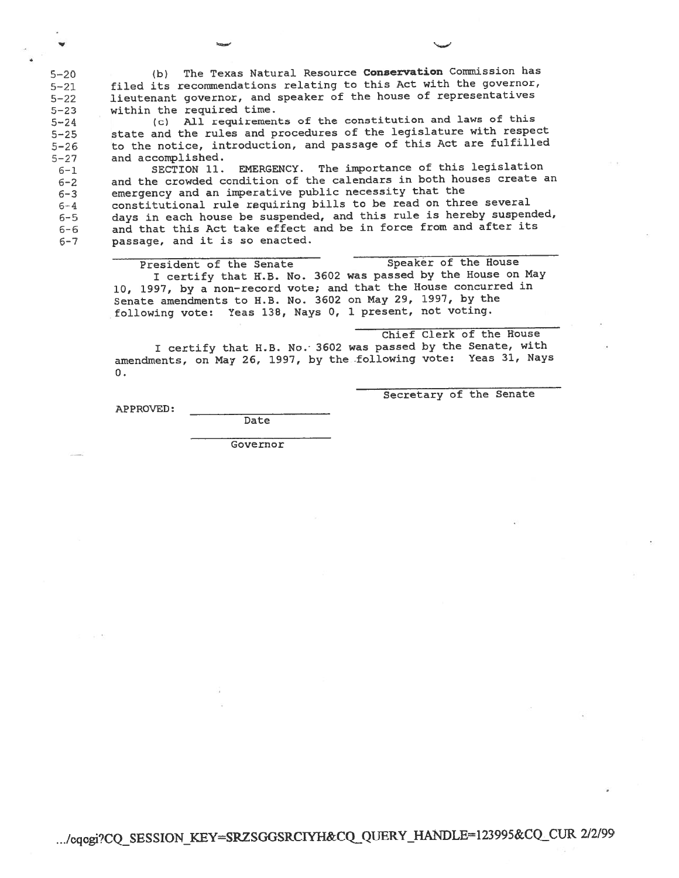(b) The Texas Natural Resource Conservation Commission has  $5 - 20$ filed its recommendations relating to this Act with the governor,  $5 - 21$ lieutenant governor, and speaker of the house of representatives  $5 - 22$ within the required time.  $5 - 23$ 

(c) All requirements of the constitution and laws of this  $5 - 24$ state and the rules and procedures of the legislature with respect  $5 - 25$ to the notice, introduction, and passage of this Act are fulfilled  $5 - 26$ and accomplished.  $5 - 27$ 

EMERGENCY. The importance of this legislation  $6 - 1$ SECTION 11. and the crowded condition of the calendars in both houses create an  $6 - 2$ emergency and an imperative public necessity that the  $6 - 3$ constitutional rule requiring bills to be read on three several  $6 - 4$ days in each house be suspended, and this rule is hereby suspended,  $6 - 5$ and that this Act take effect and be in force from and after its  $6 - 6$ passage, and it is so enacted.  $6 - 7$ 

> Speaker of the House President of the Senate I certify that H.B. No. 3602 was passed by the House on May 10, 1997, by a non-record vote; and that the House concurred in Senate amendments to H.B. No. 3602 on May 29, 1997, by the following vote: Yeas 138, Nays 0, 1 present, not voting.

Chief Clerk of the House I certify that H.B. No. 3602 was passed by the Senate, with amendments, on May 26, 1997, by the following vote: Yeas 31, Nays  $0.$ 

Secretary of the Senate

APPROVED:

Date Governor

.../cqcgi?CQ\_SESSION\_KEY=SRZSGGSRCIYH&CQ\_QUERY\_HANDLE=123995&CQ\_CUR\_2/2/99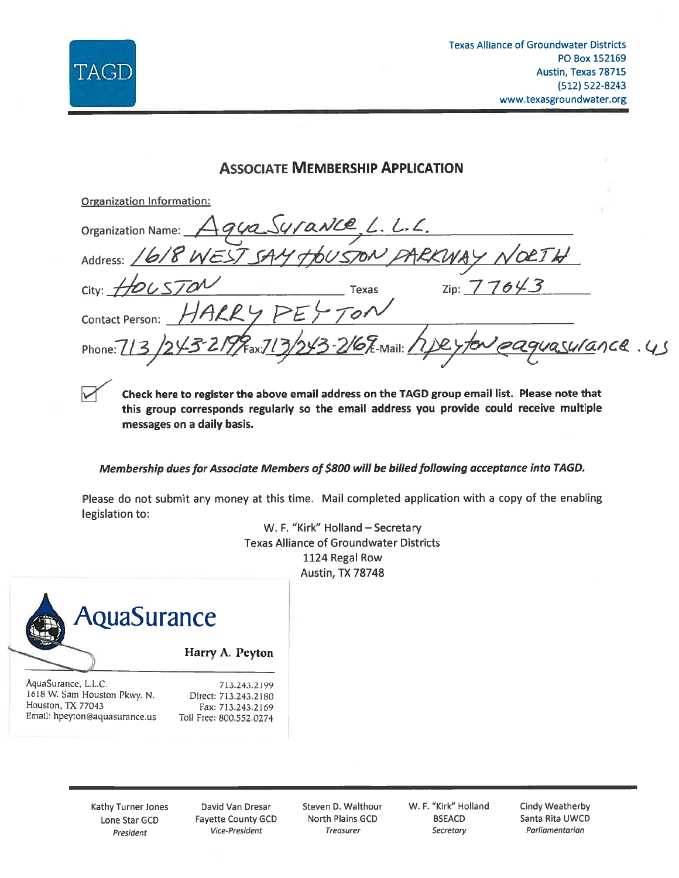

| <b>ASSOCIATE MEMBERSHIP APPLICATION</b>                                                       |  |
|-----------------------------------------------------------------------------------------------|--|
| <b>Organization Information:</b>                                                              |  |
|                                                                                               |  |
| Organization Name: Agua Surance, L. L. L.<br>Address: 1618 WEST SAY TOUS TON PARKWAY NOLTH    |  |
| $_{\rm Zip:}$ 77643<br>City: HOUSTON<br><b>Texas</b>                                          |  |
| Contact Person: HARRY PEY TON                                                                 |  |
| Phone: 713/243-2199 Fax.713/243 216 F. Mail: 1127 for eaguasurance.45                         |  |
| Check here to register the above email address on the TAGD group email list. Please note that |  |

Check here to register the above email address on the TAGD group email list. Please note that this group corresponds regularly so the email address you provide could receive multiple messages on a daily basis.

Membership dues for Associate Members of \$800 will be billed following acceptance into TAGD.

Please do not submit any money at this time. Mail completed application with a copy of the enabling legislation to:

> W. F. "Kirk" Holland - Secretary **Texas Alliance of Groundwater Districts** 1124 Regal Row Austin, TX 78748



Harry A. Peyton

AquaSurance, L.L.C. 1618 W. Sam Houston Pkwy. N. Houston, TX 77043 Email: hpeyton@aquasurance.us

713.243.2199 Direct: 713.243.2180 Fax: 713.243.2169 Toll Free: 800.552.0274

Kathy Turner Jones Lone Star GCD President

David Van Dresar **Fayette County GCD** Vice-President

Steven D. Walthour North Plains GCD **Treasurer** 

W. F. "Kirk" Holland **BSEACD** Secretary

Cindy Weatherby Santa Rita UWCD Parliamentarian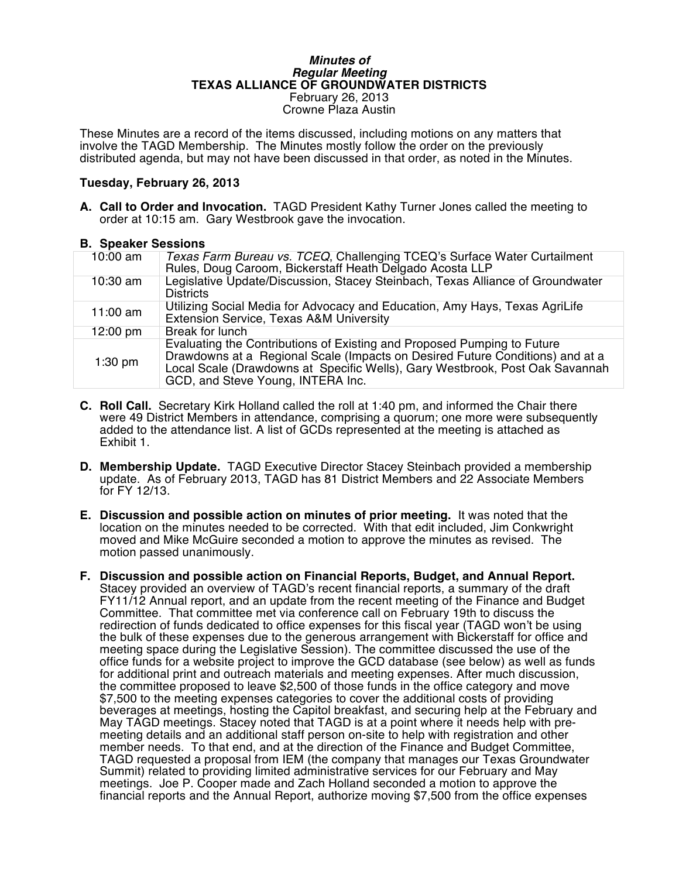#### *Minutes of Regular Meeting* **TEXAS ALLIANCE OF GROUNDWATER DISTRICTS** February 26, 2013 Crowne Plaza Austin

These Minutes are a record of the items discussed, including motions on any matters that involve the TAGD Membership. The Minutes mostly follow the order on the previously distributed agenda, but may not have been discussed in that order, as noted in the Minutes.

#### **Tuesday, February 26, 2013**

**A. Call to Order and Invocation.** TAGD President Kathy Turner Jones called the meeting to order at 10:15 am. Gary Westbrook gave the invocation.

#### **B. Speaker Sessions**

| 10:00 am   | Texas Farm Bureau vs. TCEQ, Challenging TCEQ's Surface Water Curtailment<br>Rules, Doug Caroom, Bickerstaff Heath Delgado Acosta LLP                                                                                                                                          |
|------------|-------------------------------------------------------------------------------------------------------------------------------------------------------------------------------------------------------------------------------------------------------------------------------|
| $10:30$ am | Legislative Update/Discussion, Stacey Steinbach, Texas Alliance of Groundwater<br><b>Districts</b>                                                                                                                                                                            |
| $11:00$ am | Utilizing Social Media for Advocacy and Education, Amy Hays, Texas AgriLife<br>Extension Service, Texas A&M University                                                                                                                                                        |
| 12:00 pm   | Break for lunch                                                                                                                                                                                                                                                               |
| $1:30$ pm  | Evaluating the Contributions of Existing and Proposed Pumping to Future<br>Drawdowns at a Regional Scale (Impacts on Desired Future Conditions) and at a<br>Local Scale (Drawdowns at Specific Wells), Gary Westbrook, Post Oak Savannah<br>GCD, and Steve Young, INTERA Inc. |

- **C. Roll Call.** Secretary Kirk Holland called the roll at 1:40 pm, and informed the Chair there were 49 District Members in attendance, comprising a quorum; one more were subsequently added to the attendance list. A list of GCDs represented at the meeting is attached as Exhibit 1.
- **D. Membership Update.** TAGD Executive Director Stacey Steinbach provided a membership update. As of February 2013, TAGD has 81 District Members and 22 Associate Members for FY 12/13.
- **E. Discussion and possible action on minutes of prior meeting.** It was noted that the location on the minutes needed to be corrected. With that edit included, Jim Conkwright moved and Mike McGuire seconded a motion to approve the minutes as revised. The motion passed unanimously.
- **F. Discussion and possible action on Financial Reports, Budget, and Annual Report.** Stacey provided an overview of TAGD's recent financial reports, a summary of the draft FY11/12 Annual report, and an update from the recent meeting of the Finance and Budget Committee. That committee met via conference call on February 19th to discuss the redirection of funds dedicated to office expenses for this fiscal year (TAGD won't be using the bulk of these expenses due to the generous arrangement with Bickerstaff for office and meeting space during the Legislative Session). The committee discussed the use of the office funds for a website project to improve the GCD database (see below) as well as funds for additional print and outreach materials and meeting expenses. After much discussion, the committee proposed to leave \$2,500 of those funds in the office category and move \$7,500 to the meeting expenses categories to cover the additional costs of providing beverages at meetings, hosting the Capitol breakfast, and securing help at the February and May TAGD meetings. Stacey noted that TAGD is at a point where it needs help with premeeting details and an additional staff person on-site to help with registration and other member needs. To that end, and at the direction of the Finance and Budget Committee, TAGD requested a proposal from IEM (the company that manages our Texas Groundwater Summit) related to providing limited administrative services for our February and May meetings. Joe P. Cooper made and Zach Holland seconded a motion to approve the financial reports and the Annual Report, authorize moving \$7,500 from the office expenses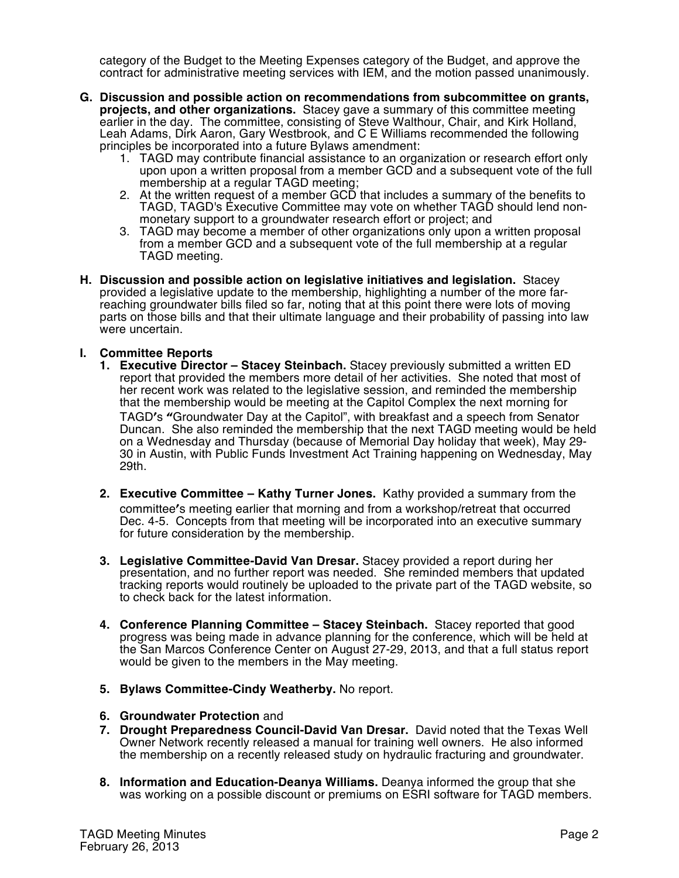category of the Budget to the Meeting Expenses category of the Budget, and approve the contract for administrative meeting services with IEM, and the motion passed unanimously.

- **G. Discussion and possible action on recommendations from subcommittee on grants, projects, and other organizations.** Stacey gave a summary of this committee meeting earlier in the day. The committee, consisting of Steve Walthour, Chair, and Kirk Holland, Leah Adams, Dirk Aaron, Gary Westbrook, and C E Williams recommended the following principles be incorporated into a future Bylaws amendment:
	- 1. TAGD may contribute financial assistance to an organization or research effort only upon upon a written proposal from a member GCD and a subsequent vote of the full membership at a regular TAGD meeting;
	- 2. At the written request of a member GCD that includes a summary of the benefits to TAGD, TAGD's Executive Committee may vote on whether TAGD should lend nonmonetary support to a groundwater research effort or project; and
	- 3. TAGD may become a member of other organizations only upon a written proposal from a member GCD and a subsequent vote of the full membership at a regular TAGD meeting.
- **H. Discussion and possible action on legislative initiatives and legislation.** Stacey provided a legislative update to the membership, highlighting a number of the more farreaching groundwater bills filed so far, noting that at this point there were lots of moving parts on those bills and that their ultimate language and their probability of passing into law were uncertain.

#### **I. Committee Reports**

- **1. Executive Director – Stacey Steinbach.** Stacey previously submitted a written ED report that provided the members more detail of her activities. She noted that most of her recent work was related to the legislative session, and reminded the membership that the membership would be meeting at the Capitol Complex the next morning for TAGD's "Groundwater Day at the Capitol", with breakfast and a speech from Senator Duncan. She also reminded the membership that the next TAGD meeting would be held on a Wednesday and Thursday (because of Memorial Day holiday that week), May 29- 30 in Austin, with Public Funds Investment Act Training happening on Wednesday, May 29th.
- **2. Executive Committee – Kathy Turner Jones.** Kathy provided a summary from the committee's meeting earlier that morning and from a workshop/retreat that occurred Dec. 4-5. Concepts from that meeting will be incorporated into an executive summary for future consideration by the membership.
- **3. Legislative Committee-David Van Dresar.** Stacey provided a report during her presentation, and no further report was needed. She reminded members that updated tracking reports would routinely be uploaded to the private part of the TAGD website, so to check back for the latest information.
- **4. Conference Planning Committee – Stacey Steinbach.** Stacey reported that good progress was being made in advance planning for the conference, which will be held at the San Marcos Conference Center on August 27-29, 2013, and that a full status report would be given to the members in the May meeting.
- **5. Bylaws Committee-Cindy Weatherby.** No report.
- **6. Groundwater Protection** and
- **7. Drought Preparedness Council-David Van Dresar.** David noted that the Texas Well Owner Network recently released a manual for training well owners. He also informed the membership on a recently released study on hydraulic fracturing and groundwater.
- **8. Information and Education-Deanya Williams.** Deanya informed the group that she was working on a possible discount or premiums on ESRI software for TAGD members.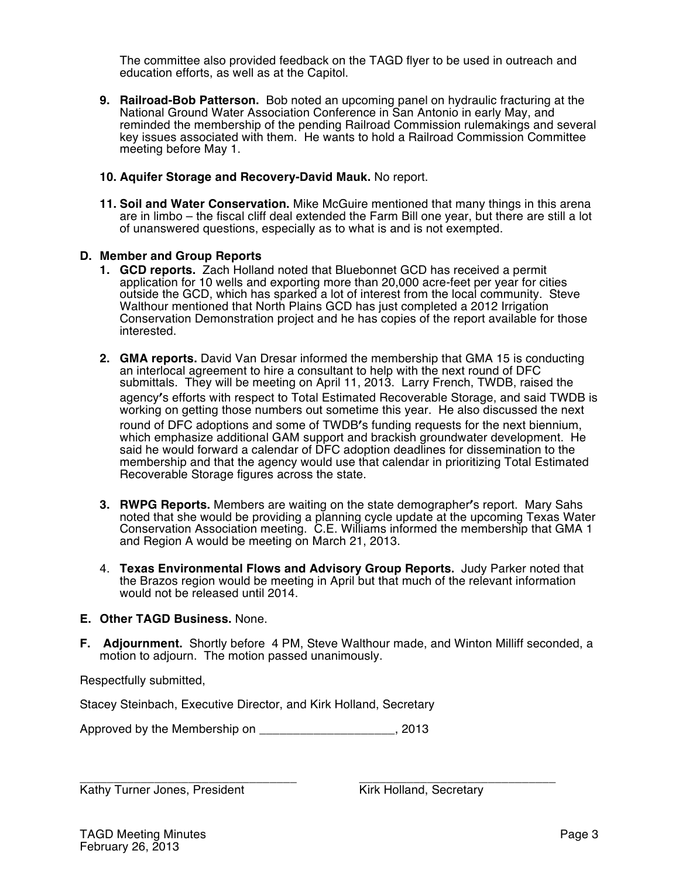The committee also provided feedback on the TAGD flyer to be used in outreach and education efforts, as well as at the Capitol.

- **9. Railroad-Bob Patterson.** Bob noted an upcoming panel on hydraulic fracturing at the National Ground Water Association Conference in San Antonio in early May, and reminded the membership of the pending Railroad Commission rulemakings and several key issues associated with them. He wants to hold a Railroad Commission Committee meeting before May 1.
- **10. Aquifer Storage and Recovery-David Mauk.** No report.
- **11. Soil and Water Conservation.** Mike McGuire mentioned that many things in this arena are in limbo – the fiscal cliff deal extended the Farm Bill one year, but there are still a lot of unanswered questions, especially as to what is and is not exempted.

#### **D. Member and Group Reports**

- **1. GCD reports.** Zach Holland noted that Bluebonnet GCD has received a permit application for 10 wells and exporting more than 20,000 acre-feet per year for cities outside the GCD, which has sparked a lot of interest from the local community. Steve Walthour mentioned that North Plains GCD has just completed a 2012 Irrigation Conservation Demonstration project and he has copies of the report available for those interested.
- **2. GMA reports.** David Van Dresar informed the membership that GMA 15 is conducting an interlocal agreement to hire a consultant to help with the next round of DFC submittals. They will be meeting on April 11, 2013. Larry French, TWDB, raised the agency's efforts with respect to Total Estimated Recoverable Storage, and said TWDB is working on getting those numbers out sometime this year. He also discussed the next round of DFC adoptions and some of TWDB's funding requests for the next biennium, which emphasize additional GAM support and brackish groundwater development. He said he would forward a calendar of DFC adoption deadlines for dissemination to the membership and that the agency would use that calendar in prioritizing Total Estimated Recoverable Storage figures across the state.
- **3. RWPG Reports.** Members are waiting on the state demographer's report. Mary Sahs noted that she would be providing a planning cycle update at the upcoming Texas Water Conservation Association meeting. C.E. Williams informed the membership that GMA 1 and Region A would be meeting on March 21, 2013.
- 4. **Texas Environmental Flows and Advisory Group Reports.** Judy Parker noted that the Brazos region would be meeting in April but that much of the relevant information would not be released until 2014.

#### **E. Other TAGD Business.** None.

**F. Adjournment.** Shortly before 4 PM, Steve Walthour made, and Winton Milliff seconded, a motion to adjourn. The motion passed unanimously.

Respectfully submitted,

Stacey Steinbach, Executive Director, and Kirk Holland, Secretary

Approved by the Membership on \_\_\_\_\_\_\_\_\_\_\_\_\_\_\_\_\_\_\_\_, 2013

\_\_\_\_\_\_\_\_\_\_\_\_\_\_\_\_\_\_\_\_\_\_\_\_\_\_\_\_\_\_\_\_ \_\_\_\_\_\_\_\_\_\_\_\_\_\_\_\_\_\_\_\_\_\_\_\_\_\_\_\_\_ Kathy Turner Jones, President Kirk Holland, Secretary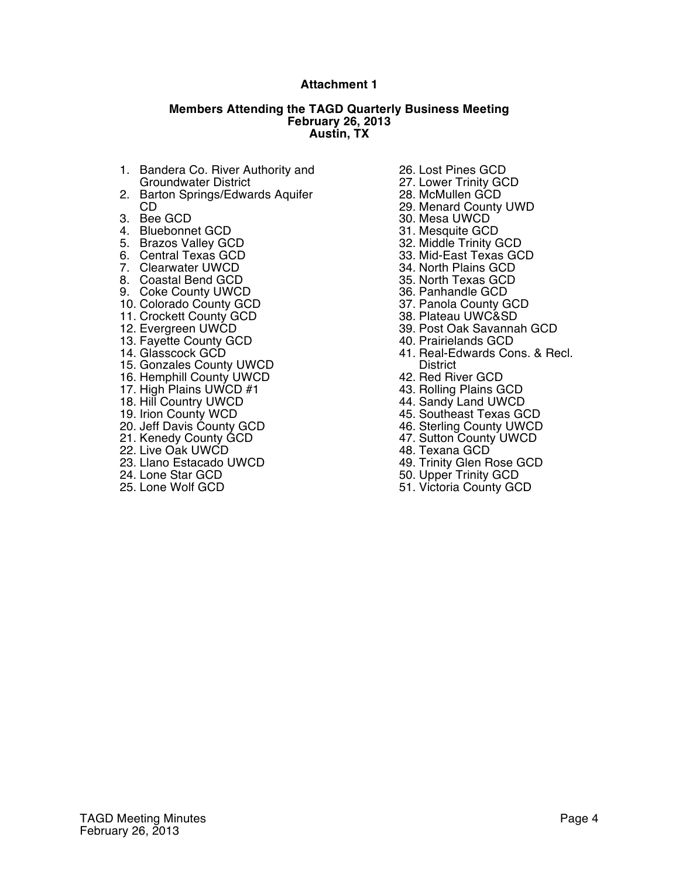#### **Attachment 1**

#### **Members Attending the TAGD Quarterly Business Meeting February 26, 2013 Austin, TX**

- 1. Bandera Co. River Authority and Groundwater District
- 2. Barton Springs/Edwards Aquifer CD
- 3. Bee GCD
- 4. Bluebonnet GCD
- 5. Brazos Valley GCD
- 6. Central Texas GCD
- 7. Clearwater UWCD
- 8. Coastal Bend GCD
- 9. Coke County UWCD
- 10. Colorado County GCD
- 11. Crockett County GCD
- 12. Evergreen UWCD
- 13. Fayette County GCD
- 14. Glasscock GCD
- 15. Gonzales County UWCD
- 16. Hemphill County UWCD
- 17. High Plains UWCD #1
- 18. Hill Country UWCD
- 19. Irion County WCD
- 20. Jeff Davis County GCD
- 21. Kenedy County GCD
- 22. Live Oak UWCD
- 23. Llano Estacado UWCD
- 24. Lone Star GCD
- 25. Lone Wolf GCD
- 26. Lost Pines GCD
- 27. Lower Trinity GCD
- 28. McMullen GCD
- 29. Menard County UWD
- 30. Mesa UWCD
- 31. Mesquite GCD
- 32. Middle Trinity GCD
- 33. Mid-East Texas GCD
- 34. North Plains GCD
- 35. North Texas GCD
- 36. Panhandle GCD
- 37. Panola County GCD
- 38. Plateau UWC&SD
- 39. Post Oak Savannah GCD
- 40. Prairielands GCD
- 41. Real-Edwards Cons. & Recl. **District**
- 42. Red River GCD
- 43. Rolling Plains GCD
- 44. Sandy Land UWCD
- 45. Southeast Texas GCD
- 46. Sterling County UWCD
- 47. Sutton County UWCD
- 48. Texana GCD
- 49. Trinity Glen Rose GCD
- 50. Upper Trinity GCD
- 51. Victoria County GCD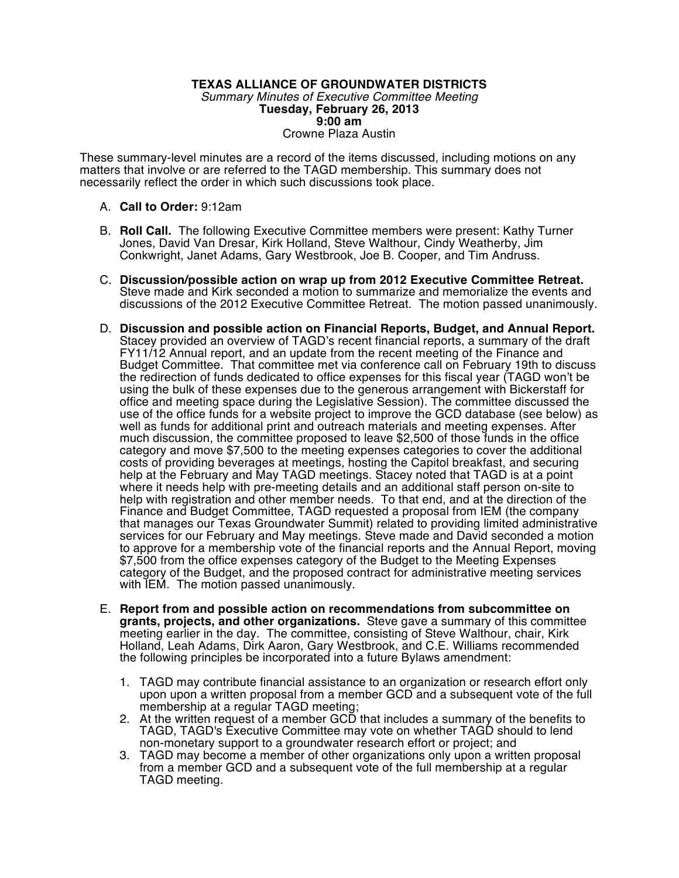#### **TEXAS ALLIANCE OF GROUNDWATER DISTRICTS** *Summary Minutes of Executive Committee Meeting* **Tuesday, February 26, 2013 9:00 am** Crowne Plaza Austin

These summary-level minutes are a record of the items discussed, including motions on any matters that involve or are referred to the TAGD membership. This summary does not necessarily reflect the order in which such discussions took place.

#### A. **Call to Order:** 9:12am

- B. **Roll Call.** The following Executive Committee members were present: Kathy Turner Jones, David Van Dresar, Kirk Holland, Steve Walthour, Cindy Weatherby, Jim Conkwright, Janet Adams, Gary Westbrook, Joe B. Cooper, and Tim Andruss.
- C. **Discussion/possible action on wrap up from 2012 Executive Committee Retreat.** Steve made and Kirk seconded a motion to summarize and memorialize the events and discussions of the 2012 Executive Committee Retreat. The motion passed unanimously.
- D. **Discussion and possible action on Financial Reports, Budget, and Annual Report.**  Stacey provided an overview of TAGD's recent financial reports, a summary of the draft FY11/12 Annual report, and an update from the recent meeting of the Finance and Budget Committee. That committee met via conference call on February 19th to discuss the redirection of funds dedicated to office expenses for this fiscal year (TAGD won't be using the bulk of these expenses due to the generous arrangement with Bickerstaff for office and meeting space during the Legislative Session). The committee discussed the use of the office funds for a website project to improve the GCD database (see below) as well as funds for additional print and outreach materials and meeting expenses. After much discussion, the committee proposed to leave \$2,500 of those funds in the office category and move \$7,500 to the meeting expenses categories to cover the additional costs of providing beverages at meetings, hosting the Capitol breakfast, and securing help at the February and May TAGD meetings. Stacey noted that TAGD is at a point where it needs help with pre-meeting details and an additional staff person on-site to help with registration and other member needs. To that end, and at the direction of the Finance and Budget Committee, TAGD requested a proposal from IEM (the company that manages our Texas Groundwater Summit) related to providing limited administrative services for our February and May meetings. Steve made and David seconded a motion to approve for a membership vote of the financial reports and the Annual Report, moving \$7,500 from the office expenses category of the Budget to the Meeting Expenses category of the Budget, and the proposed contract for administrative meeting services with  $IEM$ . The motion passed unanimously.
- E. **Report from and possible action on recommendations from subcommittee on grants, projects, and other organizations.** Steve gave a summary of this committee meeting earlier in the day. The committee, consisting of Steve Walthour, chair, Kirk Holland, Leah Adams, Dirk Aaron, Gary Westbrook, and C.E. Williams recommended the following principles be incorporated into a future Bylaws amendment:
	- 1. TAGD may contribute financial assistance to an organization or research effort only upon upon a written proposal from a member GCD and a subsequent vote of the full membership at a regular TAGD meeting;
	- 2. At the written request of a member GCD that includes a summary of the benefits to TAGD, TAGD's Executive Committee may vote on whether TAGD should to lend non-monetary support to a groundwater research effort or project; and
	- 3. TAGD may become a member of other organizations only upon a written proposal from a member GCD and a subsequent vote of the full membership at a regular TAGD meeting.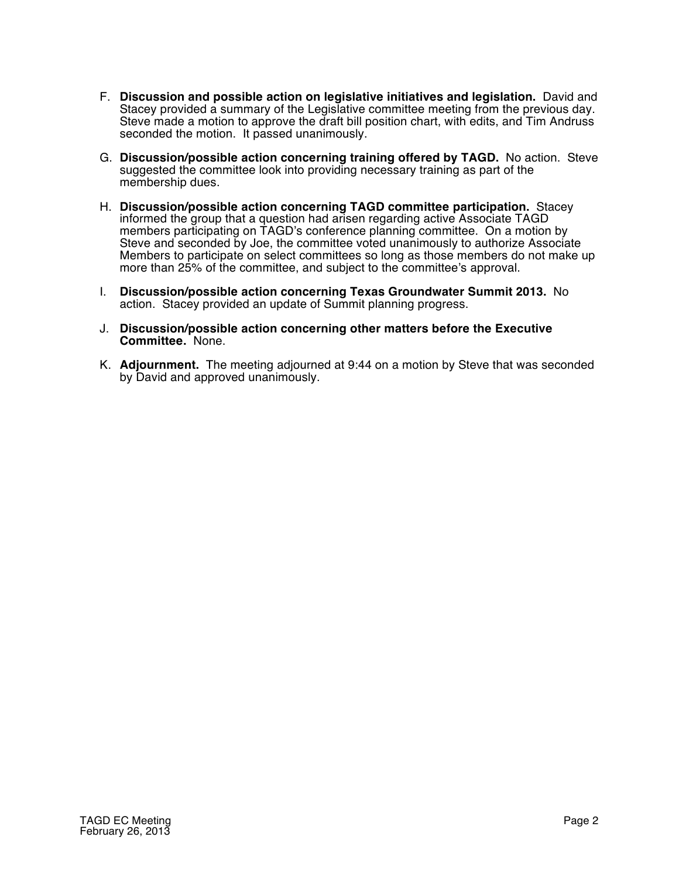- F. **Discussion and possible action on legislative initiatives and legislation.** David and Stacey provided a summary of the Legislative committee meeting from the previous day. Steve made a motion to approve the draft bill position chart, with edits, and Tim Andruss seconded the motion. It passed unanimously.
- G. **Discussion/possible action concerning training offered by TAGD.** No action. Steve suggested the committee look into providing necessary training as part of the membership dues.
- H. **Discussion/possible action concerning TAGD committee participation.** Stacey informed the group that a question had arisen regarding active Associate TAGD members participating on TAGD's conference planning committee. On a motion by Steve and seconded by Joe, the committee voted unanimously to authorize Associate Members to participate on select committees so long as those members do not make up more than 25% of the committee, and subject to the committee's approval.
- I. **Discussion/possible action concerning Texas Groundwater Summit 2013.** No action. Stacey provided an update of Summit planning progress.
- J. **Discussion/possible action concerning other matters before the Executive Committee.** None.
- K. **Adjournment.** The meeting adjourned at 9:44 on a motion by Steve that was seconded by David and approved unanimously.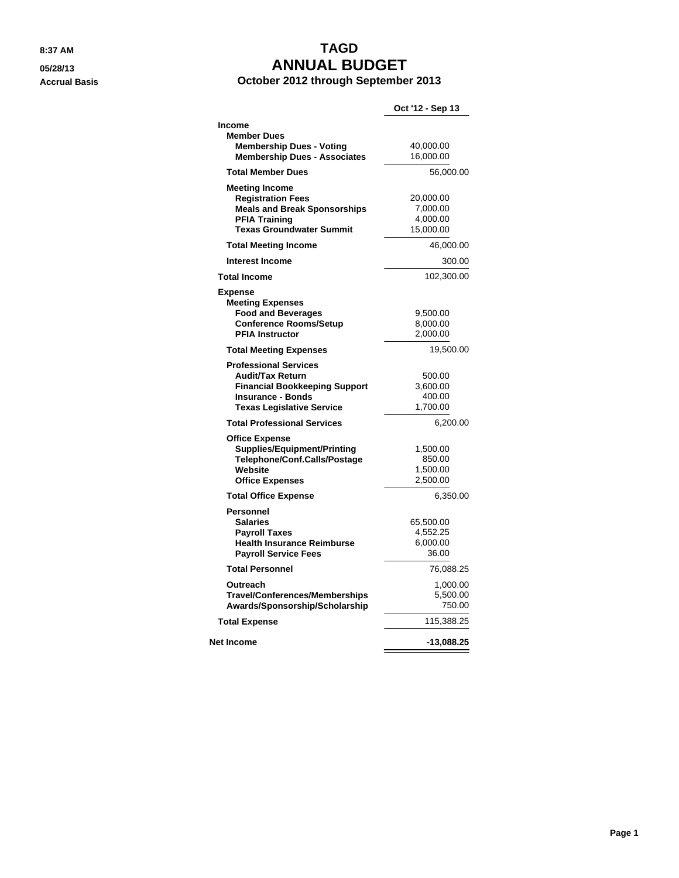# **8:37 AM TAGD 05/28/13 ANNUAL BUDGET**

**Accrual Basis October 2012 through September 2013**

|                                                                                                                                                                 | Oct '12 - Sep 13                               |
|-----------------------------------------------------------------------------------------------------------------------------------------------------------------|------------------------------------------------|
| <b>Income</b><br><b>Member Dues</b>                                                                                                                             |                                                |
| <b>Membership Dues - Voting</b><br><b>Membership Dues - Associates</b>                                                                                          | 40,000.00<br>16,000.00                         |
| <b>Total Member Dues</b>                                                                                                                                        | 56,000.00                                      |
| <b>Meeting Income</b><br><b>Registration Fees</b><br><b>Meals and Break Sponsorships</b><br><b>PFIA Training</b><br><b>Texas Groundwater Summit</b>             | 20,000.00<br>7,000.00<br>4,000.00<br>15,000.00 |
| <b>Total Meeting Income</b>                                                                                                                                     | 46,000.00                                      |
| <b>Interest Income</b>                                                                                                                                          | 300.00                                         |
| <b>Total Income</b>                                                                                                                                             | 102,300.00                                     |
| <b>Expense</b><br><b>Meeting Expenses</b><br><b>Food and Beverages</b><br><b>Conference Rooms/Setup</b><br><b>PFIA Instructor</b>                               | 9,500.00<br>8,000.00<br>2,000.00               |
| <b>Total Meeting Expenses</b>                                                                                                                                   | 19,500.00                                      |
| <b>Professional Services</b><br><b>Audit/Tax Return</b><br><b>Financial Bookkeeping Support</b><br><b>Insurance - Bonds</b><br><b>Texas Legislative Service</b> | 500.00<br>3,600.00<br>400.00<br>1,700.00       |
| <b>Total Professional Services</b>                                                                                                                              | 6,200.00                                       |
| <b>Office Expense</b><br><b>Supplies/Equipment/Printing</b><br>Telephone/Conf.Calls/Postage<br>Website<br><b>Office Expenses</b>                                | 1,500.00<br>850.00<br>1,500.00<br>2,500.00     |
| <b>Total Office Expense</b>                                                                                                                                     | 6,350.00                                       |
| Personnel<br><b>Salaries</b><br><b>Payroll Taxes</b><br><b>Health Insurance Reimburse</b><br><b>Payroll Service Fees</b>                                        | 65,500.00<br>4,552.25<br>6,000.00<br>36.00     |
| <b>Total Personnel</b>                                                                                                                                          | 76,088.25                                      |
| Outreach<br><b>Travel/Conferences/Memberships</b><br>Awards/Sponsorship/Scholarship                                                                             | 1,000.00<br>5,500.00<br>750.00                 |
| <b>Total Expense</b>                                                                                                                                            | 115,388.25                                     |
| Net Income                                                                                                                                                      | -13,088.25                                     |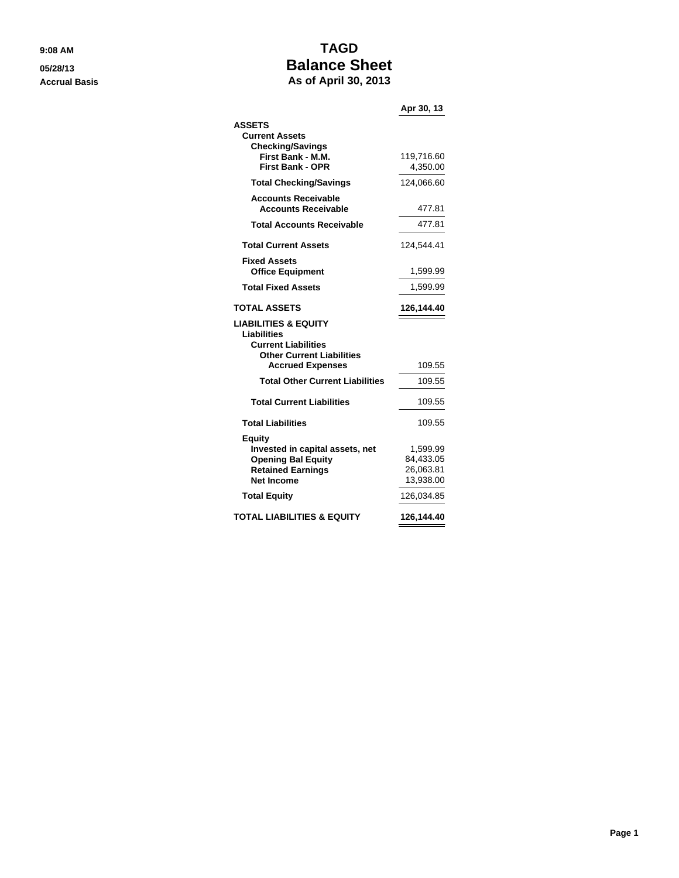## **9:08 AM TAGD 05/28/13 Balance Sheet Accrual Basis As of April 30, 2013**

| AS VI APHI JV, ZV IJ                   |            |
|----------------------------------------|------------|
|                                        | Apr 30, 13 |
| <b>ASSETS</b>                          |            |
| <b>Current Assets</b>                  |            |
| <b>Checking/Savings</b>                |            |
| First Bank - M.M.                      | 119,716.60 |
| <b>First Bank - OPR</b>                | 4,350.00   |
| <b>Total Checking/Savings</b>          | 124,066.60 |
| <b>Accounts Receivable</b>             |            |
| <b>Accounts Receivable</b>             | 477.81     |
| <b>Total Accounts Receivable</b>       | 477.81     |
| <b>Total Current Assets</b>            | 124,544.41 |
| <b>Fixed Assets</b>                    |            |
| <b>Office Equipment</b>                | 1,599.99   |
| <b>Total Fixed Assets</b>              | 1,599.99   |
| <b>TOTAL ASSETS</b>                    | 126,144.40 |
| LIABILITIES & EQUITY                   |            |
| <b>Liabilities</b>                     |            |
| <b>Current Liabilities</b>             |            |
| <b>Other Current Liabilities</b>       |            |
| <b>Accrued Expenses</b>                | 109.55     |
| <b>Total Other Current Liabilities</b> | 109.55     |
| <b>Total Current Liabilities</b>       | 109.55     |
| <b>Total Liabilities</b>               | 109.55     |

**Invested in capital assets, net** 1,599.99 **Opening Bal Equity** 84,433.05 **Retained Earnings** 26,063.81 **Net Income** 13,938.00 **Total Equity** 126,034.85 **TOTAL LIABILITIES & EQUITY 126,144.40**

**Equity**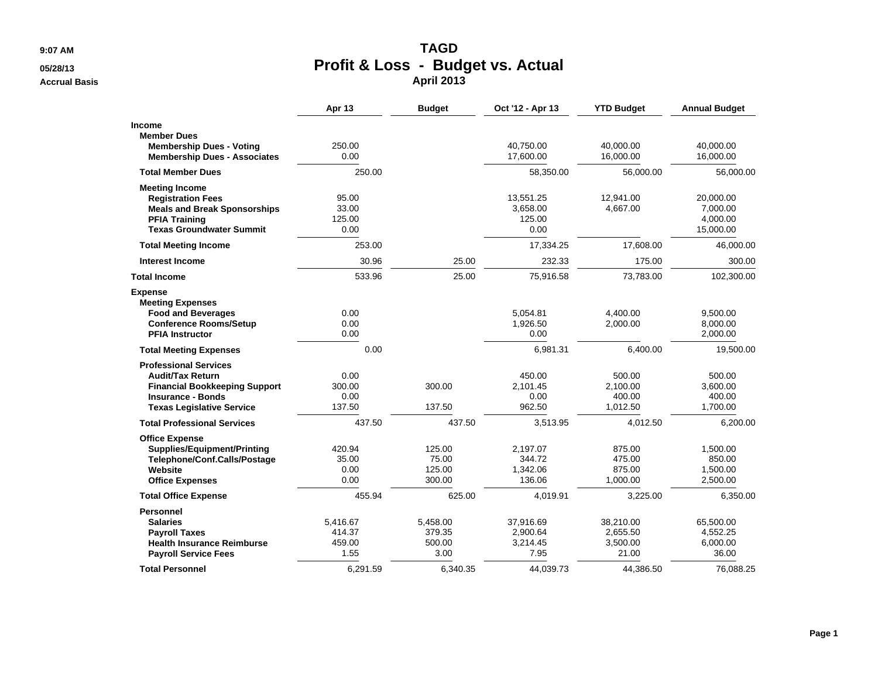**9:07 AM**

#### **05/28/13**

**Accrual Basis**

# M **Profit & Loss - Budget vs. Actual April 2013**

|                                                                                                                                                                 | Apr <sub>13</sub>                    | <b>Budget</b>                        | Oct '12 - Apr 13                          | <b>YTD Budget</b>                          | <b>Annual Budget</b>                           |
|-----------------------------------------------------------------------------------------------------------------------------------------------------------------|--------------------------------------|--------------------------------------|-------------------------------------------|--------------------------------------------|------------------------------------------------|
| Income<br><b>Member Dues</b><br><b>Membership Dues - Voting</b><br><b>Membership Dues - Associates</b>                                                          | 250.00<br>0.00                       |                                      | 40,750.00<br>17,600.00                    | 40,000.00<br>16,000.00                     | 40,000.00<br>16,000.00                         |
| <b>Total Member Dues</b>                                                                                                                                        | 250.00                               |                                      | 58,350.00                                 | 56,000.00                                  | 56,000.00                                      |
| <b>Meeting Income</b><br><b>Registration Fees</b><br><b>Meals and Break Sponsorships</b><br><b>PFIA Training</b><br><b>Texas Groundwater Summit</b>             | 95.00<br>33.00<br>125.00<br>0.00     |                                      | 13,551.25<br>3,658.00<br>125.00<br>0.00   | 12,941.00<br>4,667.00                      | 20,000.00<br>7,000.00<br>4,000.00<br>15,000.00 |
| <b>Total Meeting Income</b>                                                                                                                                     | 253.00                               |                                      | 17,334.25                                 | 17,608.00                                  | 46,000.00                                      |
| <b>Interest Income</b>                                                                                                                                          | 30.96                                | 25.00                                | 232.33                                    | 175.00                                     | 300.00                                         |
| <b>Total Income</b>                                                                                                                                             | 533.96                               | 25.00                                | 75,916.58                                 | 73,783.00                                  | 102,300.00                                     |
| <b>Expense</b><br><b>Meeting Expenses</b><br><b>Food and Beverages</b><br><b>Conference Rooms/Setup</b><br><b>PFIA Instructor</b>                               | 0.00<br>0.00<br>0.00                 |                                      | 5,054.81<br>1,926.50<br>0.00              | 4,400.00<br>2,000.00                       | 9,500.00<br>8,000.00<br>2,000.00               |
| <b>Total Meeting Expenses</b>                                                                                                                                   | 0.00                                 |                                      | 6,981.31                                  | 6,400.00                                   | 19,500.00                                      |
| <b>Professional Services</b><br><b>Audit/Tax Return</b><br><b>Financial Bookkeeping Support</b><br><b>Insurance - Bonds</b><br><b>Texas Legislative Service</b> | 0.00<br>300.00<br>0.00<br>137.50     | 300.00<br>137.50                     | 450.00<br>2,101.45<br>0.00<br>962.50      | 500.00<br>2,100.00<br>400.00<br>1,012.50   | 500.00<br>3,600.00<br>400.00<br>1,700.00       |
| <b>Total Professional Services</b>                                                                                                                              | 437.50                               | 437.50                               | 3,513.95                                  | 4,012.50                                   | 6,200.00                                       |
| <b>Office Expense</b><br><b>Supplies/Equipment/Printing</b><br>Telephone/Conf.Calls/Postage<br>Website<br><b>Office Expenses</b>                                | 420.94<br>35.00<br>0.00<br>0.00      | 125.00<br>75.00<br>125.00<br>300.00  | 2.197.07<br>344.72<br>1,342.06<br>136.06  | 875.00<br>475.00<br>875.00<br>1,000.00     | 1,500.00<br>850.00<br>1,500.00<br>2,500.00     |
| <b>Total Office Expense</b>                                                                                                                                     | 455.94                               | 625.00                               | 4,019.91                                  | 3,225.00                                   | 6,350.00                                       |
| <b>Personnel</b><br><b>Salaries</b><br><b>Payroll Taxes</b><br><b>Health Insurance Reimburse</b><br><b>Payroll Service Fees</b>                                 | 5,416.67<br>414.37<br>459.00<br>1.55 | 5,458.00<br>379.35<br>500.00<br>3.00 | 37,916.69<br>2,900.64<br>3,214.45<br>7.95 | 38,210.00<br>2,655.50<br>3,500.00<br>21.00 | 65,500.00<br>4,552.25<br>6,000.00<br>36.00     |
| <b>Total Personnel</b>                                                                                                                                          | 6,291.59                             | 6,340.35                             | 44,039.73                                 | 44,386.50                                  | 76,088.25                                      |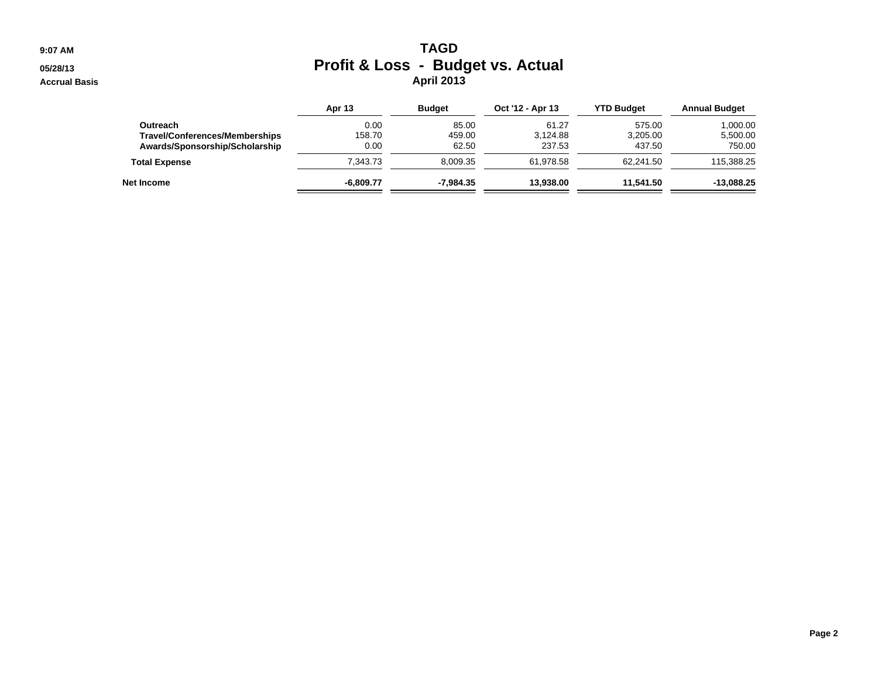**9:07 AM**

#### **05/28/13**

**Accrual Basis**

# M **Profit & Loss - Budget vs. Actual April 2013**

|                                | <b>Apr 13</b> | <b>Budget</b> | Oct '12 - Apr 13 | <b>YTD Budget</b> | <b>Annual Budget</b> |
|--------------------------------|---------------|---------------|------------------|-------------------|----------------------|
| Outreach                       | 0.00          | 85.00         | 61.27            | 575.00            | 1,000.00             |
| Travel/Conferences/Memberships | 158.70        | 459.00        | 3.124.88         | 3,205.00          | 5.500.00             |
| Awards/Sponsorship/Scholarship | 0.00          | 62.50         | 237.53           | 437.50            | 750.00               |
| <b>Total Expense</b>           | 7.343.73      | 8.009.35      | 61.978.58        | 62.241.50         | 115.388.25           |
| Net Income                     | $-6.809.77$   | -7.984.35     | 13.938.00        | 11.541.50         | $-13,088.25$         |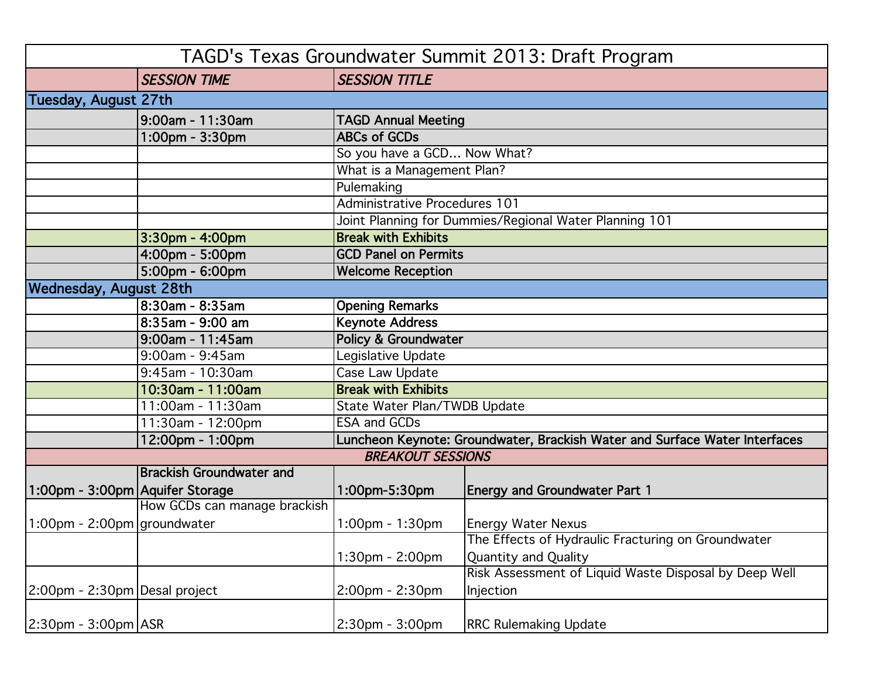|                                 |                                 |                                                                            | TAGD's Texas Groundwater Summit 2013: Draft Program    |  |
|---------------------------------|---------------------------------|----------------------------------------------------------------------------|--------------------------------------------------------|--|
|                                 | <b>SESSION TIME</b>             | <b>SESSION TITLE</b>                                                       |                                                        |  |
| Tuesday, August 27th            |                                 |                                                                            |                                                        |  |
|                                 | 9:00am - 11:30am                | <b>TAGD Annual Meeting</b>                                                 |                                                        |  |
|                                 | 1:00pm - 3:30pm                 | <b>ABCs of GCDs</b>                                                        |                                                        |  |
|                                 |                                 | So you have a GCD Now What?                                                |                                                        |  |
|                                 |                                 | What is a Management Plan?                                                 |                                                        |  |
|                                 |                                 | Pulemaking                                                                 |                                                        |  |
|                                 |                                 | Administrative Procedures 101                                              |                                                        |  |
|                                 |                                 |                                                                            | Joint Planning for Dummies/Regional Water Planning 101 |  |
|                                 | 3:30pm - 4:00pm                 | <b>Break with Exhibits</b>                                                 |                                                        |  |
|                                 | 4:00pm - 5:00pm                 | <b>GCD Panel on Permits</b>                                                |                                                        |  |
|                                 | 5:00pm - 6:00pm                 | <b>Welcome Reception</b>                                                   |                                                        |  |
| <b>Wednesday, August 28th</b>   |                                 |                                                                            |                                                        |  |
|                                 | 8:30am - 8:35am                 | <b>Opening Remarks</b>                                                     |                                                        |  |
|                                 | 8:35am - 9:00 am                | <b>Keynote Address</b>                                                     |                                                        |  |
|                                 | 9:00am - 11:45am                | Policy & Groundwater                                                       |                                                        |  |
|                                 | 9:00am - 9:45am                 | Legislative Update                                                         |                                                        |  |
|                                 | 9:45am - 10:30am                | Case Law Update                                                            |                                                        |  |
|                                 | 10:30am - 11:00am               | <b>Break with Exhibits</b>                                                 |                                                        |  |
|                                 | 11:00am - 11:30am               | State Water Plan/TWDB Update                                               |                                                        |  |
|                                 | $11:30$ am - 12:00pm            | <b>ESA and GCDs</b>                                                        |                                                        |  |
|                                 | 12:00pm - 1:00pm                | Luncheon Keynote: Groundwater, Brackish Water and Surface Water Interfaces |                                                        |  |
| <b>BREAKOUT SESSIONS</b>        |                                 |                                                                            |                                                        |  |
|                                 | <b>Brackish Groundwater and</b> |                                                                            |                                                        |  |
| 1:00pm - 3:00pm Aquifer Storage |                                 | 1:00pm-5:30pm                                                              | <b>Energy and Groundwater Part 1</b>                   |  |
|                                 | How GCDs can manage brackish    |                                                                            |                                                        |  |
| 1:00pm - 2:00pm groundwater     |                                 | 1:00pm - 1:30pm                                                            | <b>Energy Water Nexus</b>                              |  |
|                                 |                                 |                                                                            | The Effects of Hydraulic Fracturing on Groundwater     |  |
|                                 |                                 | 1:30pm - 2:00pm                                                            | <b>Quantity and Quality</b>                            |  |
|                                 |                                 |                                                                            | Risk Assessment of Liquid Waste Disposal by Deep Well  |  |
| 2:00pm - 2:30pm Desal project   |                                 | 2:00pm - 2:30pm                                                            | Injection                                              |  |
| 2:30pm - 3:00pm ASR             |                                 | 2:30pm - 3:00pm                                                            | <b>RRC Rulemaking Update</b>                           |  |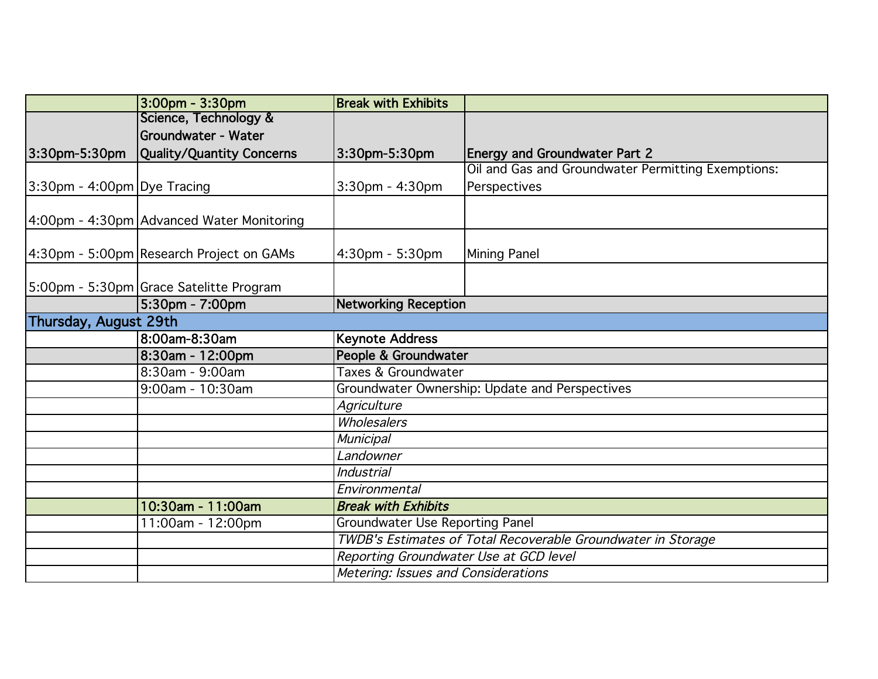|                             | 3:00pm - 3:30pm                           | <b>Break with Exhibits</b>                                   |                                                    |  |
|-----------------------------|-------------------------------------------|--------------------------------------------------------------|----------------------------------------------------|--|
|                             | Science, Technology &                     |                                                              |                                                    |  |
|                             | <b>Groundwater - Water</b>                |                                                              |                                                    |  |
| 3:30pm-5:30pm               | Quality/Quantity Concerns                 | 3:30pm-5:30pm                                                | <b>Energy and Groundwater Part 2</b>               |  |
|                             |                                           |                                                              | Oil and Gas and Groundwater Permitting Exemptions: |  |
| 3:30pm - 4:00pm Dye Tracing |                                           | $3:30$ pm - $4:30$ pm                                        | Perspectives                                       |  |
|                             | 4:00pm - 4:30pm Advanced Water Monitoring |                                                              |                                                    |  |
|                             | 4:30pm - 5:00pm Research Project on GAMs  | 4:30pm - 5:30pm                                              | Mining Panel                                       |  |
|                             | 5:00pm - 5:30pm Grace Satelitte Program   |                                                              |                                                    |  |
|                             | 5:30pm - 7:00pm                           | <b>Networking Reception</b>                                  |                                                    |  |
| Thursday, August 29th       |                                           |                                                              |                                                    |  |
|                             | 8:00am-8:30am                             | <b>Keynote Address</b>                                       |                                                    |  |
|                             | 8:30am - 12:00pm                          | People & Groundwater                                         |                                                    |  |
|                             | 8:30am - 9:00am                           | Taxes & Groundwater                                          |                                                    |  |
|                             | 9:00am - 10:30am                          | Groundwater Ownership: Update and Perspectives               |                                                    |  |
|                             |                                           | Agriculture                                                  |                                                    |  |
|                             |                                           | Wholesalers                                                  |                                                    |  |
|                             |                                           | <b>Municipal</b>                                             |                                                    |  |
|                             |                                           | Landowner                                                    |                                                    |  |
|                             |                                           | <b>Industrial</b>                                            |                                                    |  |
|                             |                                           | Environmental                                                |                                                    |  |
|                             | 10:30am - 11:00am                         | <b>Break with Exhibits</b>                                   |                                                    |  |
|                             | 11:00am - 12:00pm                         | <b>Groundwater Use Reporting Panel</b>                       |                                                    |  |
|                             |                                           | TWDB's Estimates of Total Recoverable Groundwater in Storage |                                                    |  |
|                             |                                           | Reporting Groundwater Use at GCD level                       |                                                    |  |
|                             |                                           | Metering: Issues and Considerations                          |                                                    |  |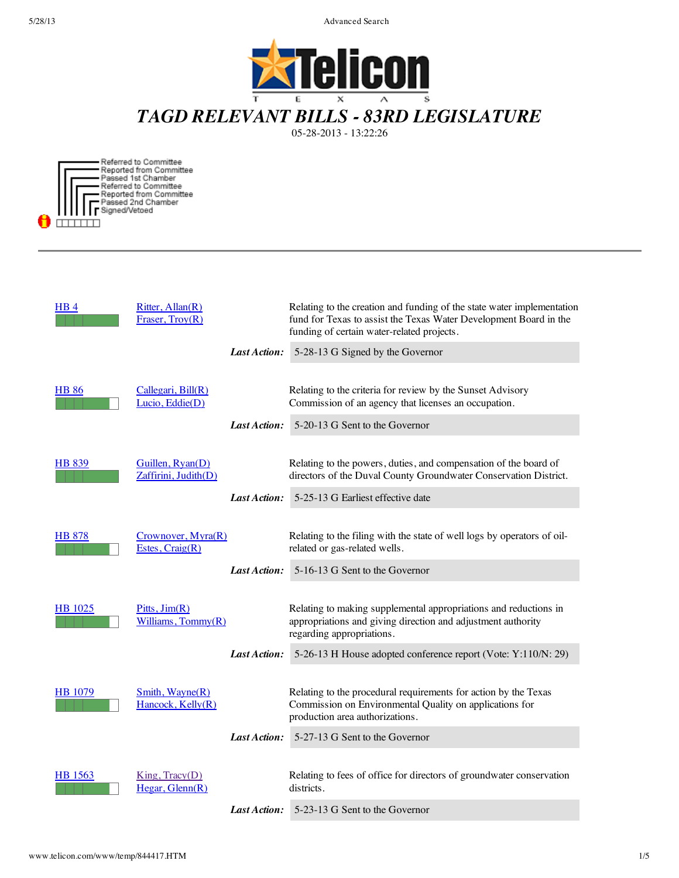



Referred to Committee<br>Reported from Committee<br>Passed 1st Chamber<br>Referred to Committee<br>Passed 2nd Chamber<br>SimedWeteed Signed/Vetoed  $\overline{\phantom{a}}$ 

| <b>HB4</b>     | Ritter, Allan(R)<br>Fraser, Troy(R)      |              | Relating to the creation and funding of the state water implementation<br>fund for Texas to assist the Texas Water Development Board in the<br>funding of certain water-related projects. |
|----------------|------------------------------------------|--------------|-------------------------------------------------------------------------------------------------------------------------------------------------------------------------------------------|
|                |                                          | Last Action: | 5-28-13 G Signed by the Governor                                                                                                                                                          |
| <u>HB 86</u>   | Callegari, Bill(R)                       |              | Relating to the criteria for review by the Sunset Advisory                                                                                                                                |
|                | Lucio, Eddie(D)                          |              | Commission of an agency that licenses an occupation.                                                                                                                                      |
|                |                                          | Last Action: | 5-20-13 G Sent to the Governor                                                                                                                                                            |
| <b>HB 839</b>  | Guillen, Ryan(D)<br>Zaffirini, Judith(D) |              | Relating to the powers, duties, and compensation of the board of<br>directors of the Duval County Groundwater Conservation District.                                                      |
|                |                                          | Last Action: | 5-25-13 G Earliest effective date                                                                                                                                                         |
| HB 878         | Crownover, Myra(R)<br>Estes, $Craig(R)$  |              | Relating to the filing with the state of well logs by operators of oil-<br>related or gas-related wells.                                                                                  |
|                |                                          | Last Action: | 5-16-13 G Sent to the Governor                                                                                                                                                            |
| <b>HB</b> 1025 | Pitts, Jim(R)<br>Williams, $Tommy(R)$    |              | Relating to making supplemental appropriations and reductions in<br>appropriations and giving direction and adjustment authority<br>regarding appropriations.                             |
|                |                                          | Last Action: | 5-26-13 H House adopted conference report (Vote: Y:110/N: 29)                                                                                                                             |
| HB 1079        | Smith, Wayne(R)<br>Hancock, Kelly(R)     |              | Relating to the procedural requirements for action by the Texas<br>Commission on Environmental Quality on applications for<br>production area authorizations.                             |
|                |                                          | Last Action: | 5-27-13 G Sent to the Governor                                                                                                                                                            |
| HB 1563        | King, Tracy(D)<br>Hegar, Glenn(R)        |              | Relating to fees of office for directors of groundwater conservation<br>districts.                                                                                                        |
|                |                                          | Last Action: | 5-23-13 G Sent to the Governor                                                                                                                                                            |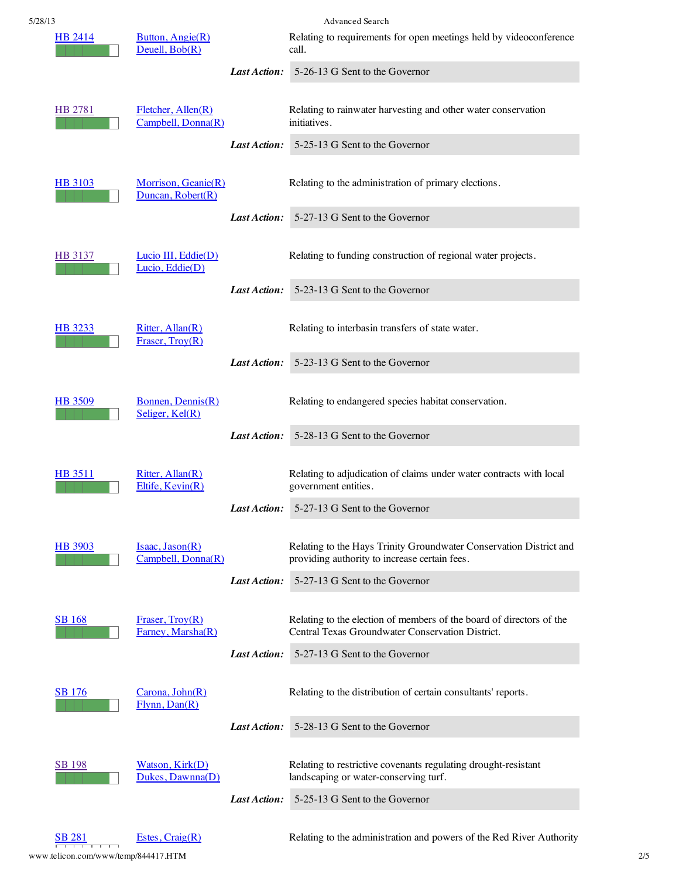| 5/28/13        |                                                | Advanced Search                                                             |                                                                                                                          |  |
|----------------|------------------------------------------------|-----------------------------------------------------------------------------|--------------------------------------------------------------------------------------------------------------------------|--|
| HB 2414        | Button, Angie(R)<br>Deuell, Bob(R)             | Relating to requirements for open meetings held by videoconference<br>call. |                                                                                                                          |  |
|                |                                                | Last Action:                                                                | 5-26-13 G Sent to the Governor                                                                                           |  |
| HB 2781        | $F$ letcher, Allen $(R)$<br>Campbell, Donna(R) |                                                                             | Relating to rainwater harvesting and other water conservation<br>initiatives.                                            |  |
|                |                                                | Last Action:                                                                | 5-25-13 G Sent to the Governor                                                                                           |  |
| <b>HB</b> 3103 | Morrison, Geanie(R)<br>Duncan, Robert(R)       |                                                                             | Relating to the administration of primary elections.                                                                     |  |
|                |                                                | Last Action:                                                                | 5-27-13 G Sent to the Governor                                                                                           |  |
| HB 3137        | Lucio III, Eddie(D)<br>Lucio, Eddie(D)         |                                                                             | Relating to funding construction of regional water projects.                                                             |  |
|                |                                                | Last Action:                                                                | 5-23-13 G Sent to the Governor                                                                                           |  |
| HB 3233        | Ritter, Allan(R)<br>Fraser, $Troy(R)$          |                                                                             | Relating to interbasin transfers of state water.                                                                         |  |
|                |                                                | Last Action:                                                                | 5-23-13 G Sent to the Governor                                                                                           |  |
| HB 3509        | Bonnen, Dennis(R)<br>Seliger, Kel(R)           |                                                                             | Relating to endangered species habitat conservation.                                                                     |  |
|                |                                                | Last Action:                                                                | 5-28-13 G Sent to the Governor                                                                                           |  |
| <b>HB</b> 3511 | Ritter, Allan(R)<br>Eltife, Kevin(R)           |                                                                             | Relating to adjudication of claims under water contracts with local<br>government entities.                              |  |
|                |                                                |                                                                             | Last Action: 5-27-13 G Sent to the Governor                                                                              |  |
| HB 3903        | Isaac, Jason(R)<br>Campbell, Donna(R)          |                                                                             | Relating to the Hays Trinity Groundwater Conservation District and<br>providing authority to increase certain fees.      |  |
|                |                                                | Last Action:                                                                | 5-27-13 G Sent to the Governor                                                                                           |  |
| <b>SB</b> 168  | Fraser, $Troy(R)$<br>Farney, Marsha(R)         |                                                                             | Relating to the election of members of the board of directors of the<br>Central Texas Groundwater Conservation District. |  |
|                |                                                | Last Action:                                                                | 5-27-13 G Sent to the Governor                                                                                           |  |
| <b>SB</b> 176  | Carona, John(R)<br>Flynn, Dan(R)               |                                                                             | Relating to the distribution of certain consultants' reports.                                                            |  |
|                |                                                | Last Action:                                                                | 5-28-13 G Sent to the Governor                                                                                           |  |
| <u>SB 198</u>  | Watson, Kirk(D)<br>Dukes, Dawnna(D)            |                                                                             | Relating to restrictive covenants regulating drought-resistant<br>landscaping or water-conserving turf.                  |  |
|                |                                                | Last Action:                                                                | 5-25-13 G Sent to the Governor                                                                                           |  |
|                |                                                |                                                                             |                                                                                                                          |  |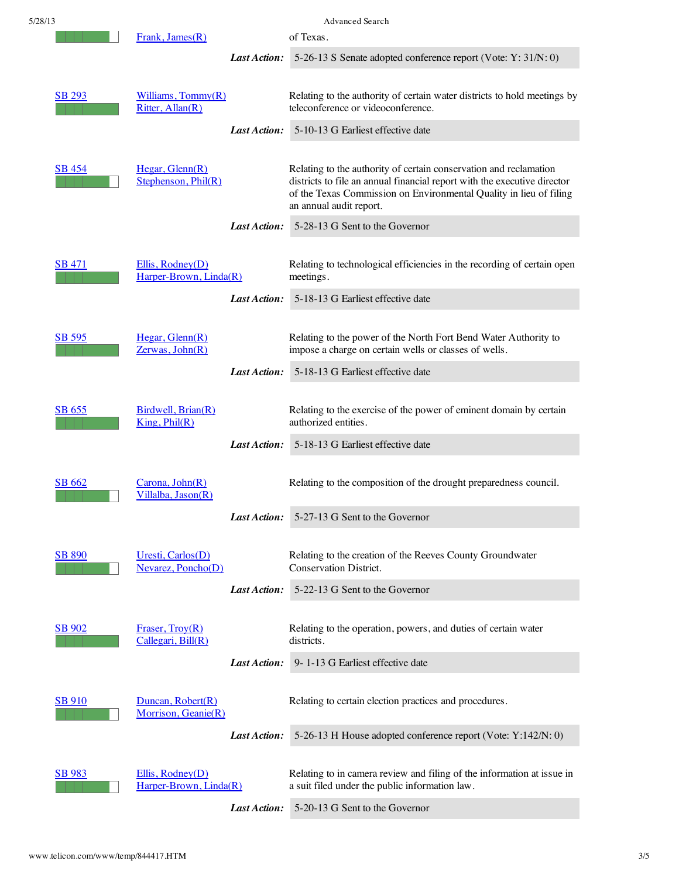| 5/28/13       |                                                |                     | <b>Advanced Search</b>                                                                                                                                                                                                                         |
|---------------|------------------------------------------------|---------------------|------------------------------------------------------------------------------------------------------------------------------------------------------------------------------------------------------------------------------------------------|
|               | Frank, James(R)                                |                     | of Texas.                                                                                                                                                                                                                                      |
|               |                                                | <b>Last Action:</b> | 5-26-13 S Senate adopted conference report (Vote: Y: 31/N: 0)                                                                                                                                                                                  |
| <u>SB 293</u> | Williams, Tommy(R)<br>Ritter, Allan(R)         |                     | Relating to the authority of certain water districts to hold meetings by<br>teleconference or videoconference.                                                                                                                                 |
|               |                                                | Last Action:        | 5-10-13 G Earliest effective date                                                                                                                                                                                                              |
| SB 454        | Hegar, Glenn(R)<br>Stephenson, Phil(R)         |                     | Relating to the authority of certain conservation and reclamation<br>districts to file an annual financial report with the executive director<br>of the Texas Commission on Environmental Quality in lieu of filing<br>an annual audit report. |
|               |                                                | Last Action:        | 5-28-13 G Sent to the Governor                                                                                                                                                                                                                 |
| <b>SB 471</b> | Ellis, Rodney(D)<br>Harper-Brown, Linda(R)     |                     | Relating to technological efficiencies in the recording of certain open<br>meetings.                                                                                                                                                           |
|               |                                                | Last Action:        | 5-18-13 G Earliest effective date                                                                                                                                                                                                              |
| <b>SB 595</b> | Hegar, Glenn(R)<br>Zerwas, John(R)             |                     | Relating to the power of the North Fort Bend Water Authority to<br>impose a charge on certain wells or classes of wells.                                                                                                                       |
|               |                                                | Last Action:        | 5-18-13 G Earliest effective date                                                                                                                                                                                                              |
| SB 655        | Birdwell, Brian(R)<br>King, Phil(R)            |                     | Relating to the exercise of the power of eminent domain by certain<br>authorized entities.                                                                                                                                                     |
|               |                                                | Last Action:        | 5-18-13 G Earliest effective date                                                                                                                                                                                                              |
| SB 662        | Carona, John(R)<br>Villalba, Jason(R)          |                     | Relating to the composition of the drought preparedness council.                                                                                                                                                                               |
|               |                                                | Last Action:        | 5-27-13 G Sent to the Governor                                                                                                                                                                                                                 |
| <b>SB 890</b> | Uresti, Carlos(D)<br>Nevarez, Poncho(D)        |                     | Relating to the creation of the Reeves County Groundwater<br>Conservation District.                                                                                                                                                            |
|               |                                                | Last Action:        | 5-22-13 G Sent to the Governor                                                                                                                                                                                                                 |
| <b>SB 902</b> | Fraser, $Troy(R)$<br>Callegari, Bill(R)        |                     | Relating to the operation, powers, and duties of certain water<br>districts.                                                                                                                                                                   |
|               |                                                | Last Action:        | 9-1-13 G Earliest effective date                                                                                                                                                                                                               |
| <b>SB 910</b> | $D$ uncan, Robert $(R)$<br>Morrison, Geanie(R) |                     | Relating to certain election practices and procedures.                                                                                                                                                                                         |
|               |                                                | Last Action:        | 5-26-13 H House adopted conference report (Vote: Y:142/N: 0)                                                                                                                                                                                   |
| <b>SB</b> 983 | Ellis, Rodney(D)<br>Harper-Brown, Linda(R)     |                     | Relating to in camera review and filing of the information at issue in<br>a suit filed under the public information law.                                                                                                                       |
|               |                                                |                     | Last Action: 5-20-13 G Sent to the Governor                                                                                                                                                                                                    |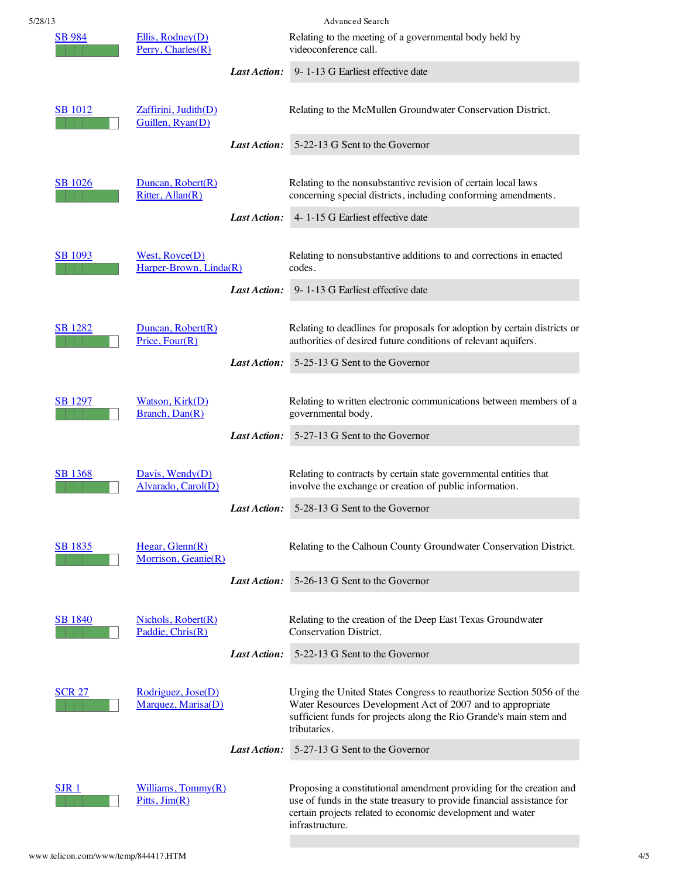| 5/28/13        |                                          |              | <b>Advanced Search</b>                                                                                                                                                                                                         |
|----------------|------------------------------------------|--------------|--------------------------------------------------------------------------------------------------------------------------------------------------------------------------------------------------------------------------------|
| <b>SB</b> 984  | Ellis, Rodney(D)<br>Perry, Charles $(R)$ |              | Relating to the meeting of a governmental body held by<br>videoconference call.                                                                                                                                                |
|                |                                          | Last Action: | 9-1-13 G Earliest effective date                                                                                                                                                                                               |
| <b>SB</b> 1012 | Zaffirini, Judith(D)<br>Guillen, Ryan(D) |              | Relating to the McMullen Groundwater Conservation District.                                                                                                                                                                    |
|                |                                          | Last Action: | 5-22-13 G Sent to the Governor                                                                                                                                                                                                 |
| <b>SB</b> 1026 | Duncan, Robert(R)<br>Ritter, Allan(R)    |              | Relating to the nonsubstantive revision of certain local laws<br>concerning special districts, including conforming amendments.                                                                                                |
|                |                                          | Last Action: | 4-1-15 G Earliest effective date                                                                                                                                                                                               |
| <b>SB</b> 1093 | West, Royce(D)<br>Harper-Brown, Linda(R) |              | Relating to nonsubstantive additions to and corrections in enacted<br>codes.                                                                                                                                                   |
|                |                                          | Last Action: | 9-1-13 G Earliest effective date                                                                                                                                                                                               |
| <b>SB</b> 1282 | Duncan, Robert(R)<br>Price, Four(R)      | Last Action: | Relating to deadlines for proposals for adoption by certain districts or<br>authorities of desired future conditions of relevant aquifers.<br>5-25-13 G Sent to the Governor                                                   |
|                |                                          |              |                                                                                                                                                                                                                                |
| <b>SB</b> 1297 | Watson, Kirk(D)<br>Branch, Dan(R)        |              | Relating to written electronic communications between members of a<br>governmental body.                                                                                                                                       |
|                |                                          | Last Action: | 5-27-13 G Sent to the Governor                                                                                                                                                                                                 |
| <b>SB</b> 1368 | Davis, Wendy(D)<br>Alvarado, Carol(D)    |              | Relating to contracts by certain state governmental entities that<br>involve the exchange or creation of public information.                                                                                                   |
|                |                                          | Last Action: | 5-28-13 G Sent to the Governor                                                                                                                                                                                                 |
| <b>SB</b> 1835 | Hegar, Glenn(R)<br>Morrison, Geanie(R)   |              | Relating to the Calhoun County Groundwater Conservation District.                                                                                                                                                              |
|                |                                          | Last Action: | 5-26-13 G Sent to the Governor                                                                                                                                                                                                 |
| <b>SB 1840</b> | Nichols, Robert(R)<br>Paddie, Chris(R)   |              | Relating to the creation of the Deep East Texas Groundwater<br>Conservation District.                                                                                                                                          |
|                |                                          | Last Action: | 5-22-13 G Sent to the Governor                                                                                                                                                                                                 |
| <b>SCR 27</b>  | Rodriguez, Jose(D)<br>Marquez, Marisa(D) |              | Urging the United States Congress to reauthorize Section 5056 of the<br>Water Resources Development Act of 2007 and to appropriate<br>sufficient funds for projects along the Rio Grande's main stem and<br>tributaries.       |
|                |                                          | Last Action: | 5-27-13 G Sent to the Governor                                                                                                                                                                                                 |
| SJR 1          | Williams, Tommy(R)<br>Pitts, Jim(R)      |              | Proposing a constitutional amendment providing for the creation and<br>use of funds in the state treasury to provide financial assistance for<br>certain projects related to economic development and water<br>infrastructure. |